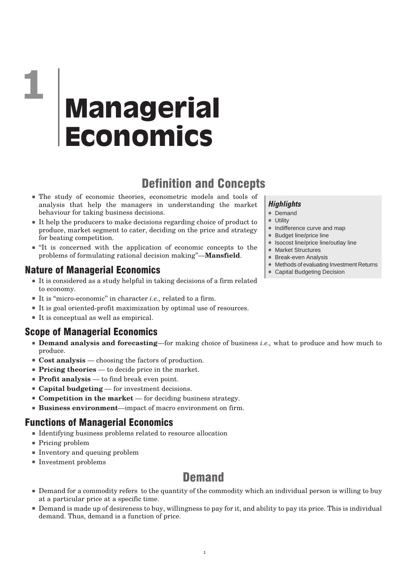# Definition and Concepts

- The study of economic theories, econometric models and tools of analysis that help the managers in understanding the market behaviour for taking business decisions.
- It help the producers to make decisions regarding choice of product to produce, market segment to cater, deciding on the price and strategy for beating competition.
- "It is concerned with the application of economic concepts to the problems of formulating rational decision making''—**Mansfield**.

### Nature of Managerial Economics

- It is considered as a study helpful in taking decisions of a firm related to economy.
- It is "micro-economic" in character *i.e.*, related to a firm.
- It is goal oriented-profit maximization by optimal use of resources.
- It is conceptual as well as empirical.

### Scope of Managerial Economics

- **Demand analysis and forecasting—f**or making choice of business *i.e.*, what to produce and how much to produce.
- **Cost analysis** choosing the factors of production.
- **Pricing theories** to decide price in the market.
- **Profit analysis** to find break even point.
- **Capital budgeting** for investment decisions.
- **Competition in the market** for deciding business strategy.
- **Business environment**—impact of macro environment on firm.

### Functions of Managerial Economics

- Identifying business problems related to resource allocation
- Pricing problem
- Inventory and queuing problem
- Investment problems

# **Demand**

- Demand for a commodity refers to the quantity of the commodity which an individual person is willing to buy at a particular price at a specific time.
- Demand is made up of desireness to buy, willingness to pay for it, and ability to pay its price. This is individual demand. Thus, demand is a function of price.

#### *Highlights*

- % Demand
- % Utility
- % Indifference curve and map
- % Budget line/price line
- % Isocost line/price line/outlay line
- % Market Structures
- % Break-even Analysis
- % Methods of evaluating Investment Returns
- % Capital Budgeting Decision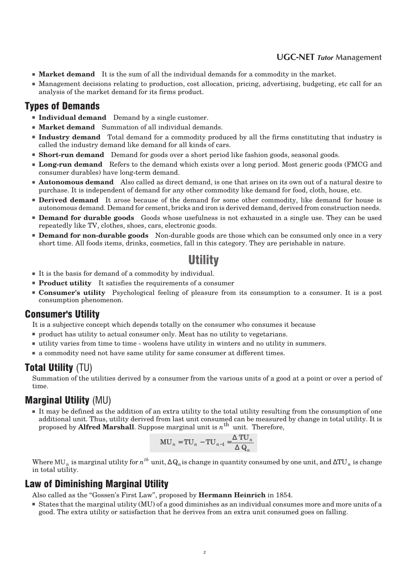#### **UGC-NET** *Tutor* **Management**

- **Market demand** It is the sum of all the individual demands for a commodity in the market.
- Management decisions relating to production, cost allocation, pricing, advertising, budgeting, etc call for an analysis of the market demand for its firms product.

#### Types of Demands

- **Individual demand** Demand by a single customer.
- **Market demand** Summation of all individual demands.
- **Industry demand** Total demand for a commodity produced by all the firms constituting that industry is called the industry demand like demand for all kinds of cars.
- **Short-run demand** Demand for goods over a short period like fashion goods, seasonal goods,
- **Long-run demand** Refers to the demand which exists over a long period. Most generic goods (FMCG and consumer durables) have long-term demand.
- **Autonomous demand** Also called as direct demand, is one that arises on its own out of a natural desire to purchase. It is independent of demand for any other commodity like demand for food, cloth, house, etc.
- **Derived demand** It arose because of the demand for some other commodity, like demand for house is autonomous demand. Demand for cement, bricks and iron is derived demand, derived from construction needs.
- **Demand for durable goods** Goods whose usefulness is not exhausted in a single use. They can be used repeatedly like TV, clothes, shoes, cars, electronic goods.
- **Demand for non-durable goods** Non-durable goods are those which can be consumed only once in a very short time. All foods items, drinks, cosmetics, fall in this category. They are perishable in nature.

### Utility

- It is the basis for demand of a commodity by individual.
- **Product utility** It satisfies the requirements of a consumer
- **Consumer's utility** Psychological feeling of pleasure from its consumption to a consumer. It is a post consumption phenomenon.

#### **Consumer's Utility**

It is a subjective concept which depends totally on the consumer who consumes it because

- product has utility to actual consumer only. Meat has no utility to vegetarians.
- utility varies from time to time woolens have utility in winters and no utility in summers.
- a commodity need not have same utility for same consumer at different times.

### **Total Utility** (TU)

Summation of the utilities derived by a consumer from the various units of a good at a point or over a period of time.

### Marginal Utility (MU)

■ It may be defined as the addition of an extra utility to the total utility resulting from the consumption of one additional unit. Thus, utility derived from last unit consumed can be measured by change in total utility. It is proposed by **Alfred Marshall**. Suppose marginal unit is *n* th unit. Therefore,

$$
\text{MU}_n = \text{TU}_n - \text{TU}_{n-1} = \frac{\Delta \text{ TU}_n}{\Delta Q_n}
$$

Where MU<sub>n</sub> is marginal utility for  $n^{th}$  unit,  $\Delta\bf{Q}_n$  is change in quantity consumed by one unit, and  $\Delta T\bf{U}_n$  is change in total utility.

### Law of Diminishing Marginal Utility

Also called as the ''Gossen's First Law'', proposed by **Hermann Heinrich** in 1854.

■ States that the marginal utility (MU) of a good diminishes as an individual consumes more and more units of a good. The extra utility or satisfaction that he derives from an extra unit consumed goes on falling.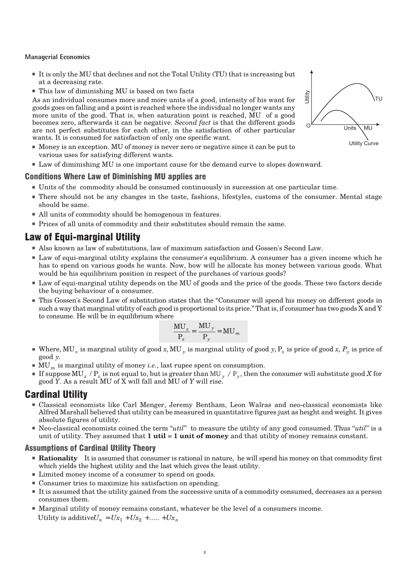- It is only the MU that declines and not the Total Utility (TU) that is increasing but at a decreasing rate.
- This law of diminishing MU is based on two facts

As an individual consumes more and more units of a good, intensity of his want for goods goes on falling and a point is reached where the individual no longer wants any more units of the good. That is, when saturation point is reached, MU of a good becomes zero, afterwards it can be negative. *Second fact* is that the different goods are not perfect substitutes for each other, in the satisfaction of other particular wants. It is consumed for satisfaction of only one specific want.

- Money is an exception. MU of money is never zero or negative since it can be put to various uses for satisfying different wants.
- Law of diminishing MU is one important cause for the demand curve to slopes downward.

#### Conditions Where Law of Diminishing MU applies are

- Units of the commodity should be consumed continuously in succession at one particular time.
- There should not be any changes in the taste, fashions, lifestyles, customs of the consumer. Mental stage should be same.
- All units of commodity should be homogenous in features.
- Prices of all units of commodity and their substitutes should remain the same.

### Law of Equi-marginal Utility

- Also known as law of substitutions, law of maximum satisfaction and Gossen's Second Law.
- Law of equi-marginal utility explains the consumer's equilibrium. A consumer has a given income which he has to spend on various goods he wants. Now, how will he allocate his money between various goods. What would be his equilibrium position in respect of the purchases of various goods?
- Law of equi-marginal utility depends on the MU of goods and the price of the goods. These two factors decide the buying behaviour of a consumer.
- This Gossen's Second Law of substitution states that the ''Consumer will spend his money on different goods in such a way that marginal utility of each good is proportional to its price." That is, if consumer has two goods X and Y to consume. He will be in equilibrium where

$$
\frac{MU_x}{P_x} = \frac{MU_y}{P_y} = MU_m
$$

- $\blacksquare$  Where, MU  $_x$  is marginal utility of good  $x$ , MU  $_y$  is marginal utility of good  $y$ ,  $P_x$  is price of good  $x$ ,  $P_y$  is price of good *y*.
- MU<sub>*m*</sub> is marginal utility of money *i.e.*, last rupee spent on consumption.
- **If** suppose MU<sub>x</sub> /  $P_x$  is not equal to, but is greater than MU<sub>y</sub> /  $P_y$ , then the consumer will substitute good *X* for good *Y*. As a result MU of X will fall and MU of *Y* will rise.

### Cardinal Utility

- Classical economists like Carl Menger, Jeremy Bentham, Leon Walras and neo-classical economists like Alfred Marshall believed that utility can be measured in quantitative figures just as height and weight. It gives absolute figures of utility.
- Neo-classical economists coined the term "*util*" to measure the utility of any good consumed. Thus "*util*" is a unit of utility. They assumed that **1 util** = **1 unit of money** and that utility of money remains constant.

#### Assumptions of Cardinal Utility Theory

- **Rationality** It is assumed that consumer is rational in nature, he will spend his money on that commodity first which yields the highest utility and the last which gives the least utility.
- Limited money income of a consumer to spend on goods.
- Consumer tries to maximize his satisfaction on spending.
- It is assumed that the utility gained from the successive units of a commodity consumed, decreases as a person consumes them.
- Marginal utility of money remains constant, whatever be the level of a consumers income. Utility is additive $U_n = Ux_1 + Ux_2 + \dots + Ux_n$

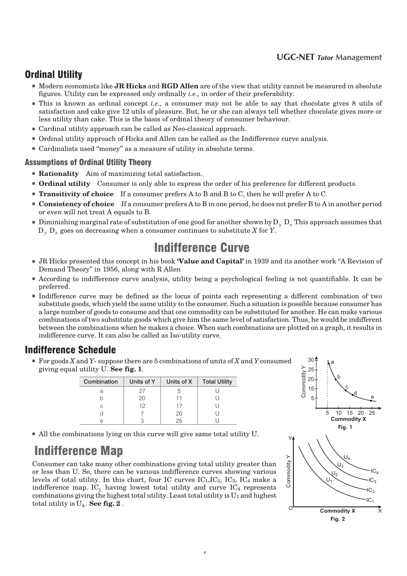#### **UGC-NET** *Tutor* **Management**

### Ordinal Utility

- Modern economists like **JR Hicks** and **RGD Allen** are of the view that utility cannot be measured in absolute figures. Utility can be expressed only ordinally *i.e.,* in order of their preferability.
- This is known as ordinal concept *i.e.*, a consumer may not be able to say that chocolate gives 8 utils of satisfaction and cake give 12 utils of pleasure. But, he or she can always tell whether chocolate gives more or less utility than cake. This is the basis of ordinal theory of consumer behaviour.
- Cardinal utility approach can be called as Neo-classical approach.
- Ordinal utility approach of Hicks and Allen can be called as the Indifference curve analysis.
- Cardinalists used "money" as a measure of utility in absolute terms.

#### Assumptions of Ordinal Utility Theory

- **Rationality** Aim of maximizing total satisfaction.
- **Ordinal utility** Consumer is only able to express the order of his preference for different products.
- **Transitivity of choice** If a consumer prefers A to B and B to C, then he will prefer A to C.
- **Consistency of choice** If a consumer prefers A to B in one period, he does not prefer B to A in another period or even will not treat A equals to B.
- Diminishing marginal rate of substitution of one good for another shown byD<sub>y</sub> D<sub>y</sub> This approach assumes that  $D_y$ ,  $D_x$  goes on decreasing when a consumer continues to substitute *X* for *Y*.

# Indifference Curve

- JR Hicks presented this concept in his book **'Value and Capital'** in 1939 and its another work "A Revision of Demand Theory'' in 1956, along with R Allen
- According to indifference curve analysis, utility being a psychological feeling is not quantifiable. It can be preferred.
- Indifference curve may be defined as the locus of points each representing a different combination of two substitute goods, which yield the same utility to the consumer. Such a situation is possible because consumer has a large number of goods to consume and that one commodity can be substituted for another. He can make various combinations of two substitute goods which give him the same level of satisfaction. Thus, he would be indifferent between the combinations when he makes a choice. When such combinations are plotted on a graph, it results in indifference curve. It can also be called as Iso-utility curve.

### Indifference Schedule

■ For goods *X* and *Y*-suppose there are 5 combinations of units of *X* and *Y* consumed giving equal utility U. **See fig. 1**.

| Combination | Units of Y | Units of X | <b>Total Utility</b> |
|-------------|------------|------------|----------------------|
| а           | 27         |            |                      |
|             | 20         |            |                      |
| C           | 12         |            |                      |
|             |            | 20         |                      |
| A           |            | クト         |                      |

■ All the combinations lying on this curve will give same total utility U.

# Indifference Map

Consumer can take many other combinations giving total utility greater than or less than U. So, there can be various indifference curves showing various levels of total utility. In this chart, four IC curves  $IC<sub>1</sub>, IC<sub>2</sub>, IC<sub>3</sub>, IC<sub>4</sub>$  make a indifference map.  $IC_1$  having lowest total utility and curve  $IC_4$  represents combinations giving the highest total utility. Least total utility is  $U_1$  and highest total utility is  $U_4$ . **See fig. 2**.

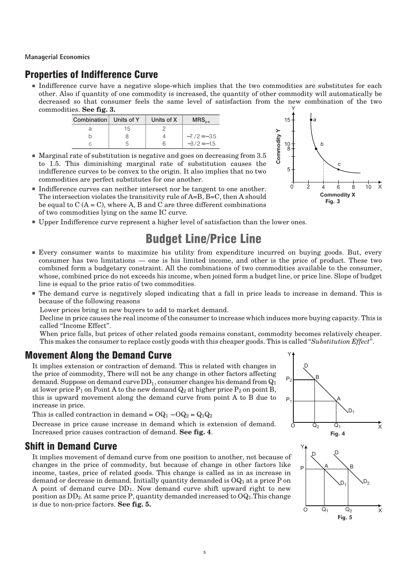### Properties of Indifference Curve

■ Indifference curve have a negative slope-which implies that the two commodities are substitutes for each other. Also if quantity of one commodity is increased, the quantity of other commodity will automatically be decreased so that consumer feels the same level of satisfaction from the new combination of the two commodities. **See fig. 3.** Y

| Combination Units of Y |    | Units of X | $MRS$ <sub>v-x</sub> |
|------------------------|----|------------|----------------------|
| а                      | 15 |            |                      |
|                        |    |            | $-7/2 = -3.5$        |
| C                      | h  | hi         | $-3/2 = -1.5$        |



- Marginal rate of substitution is negative and goes on decreasing from 3.5 to 1.5. This diminishing marginal rate of substitution causes the indifference curves to be convex to the origin. It also implies that no two commodities are perfect substitutes for one another.
- Indifference curves can neither intersect nor be tangent to one another. The intersection violates the transitivity rule of A=B, B=C, then A should be equal to  $C(A = C)$ , where A, B and C are three different combinations of two commodities lying on the same IC curve.
- Upper Indifference curve represent a higher level of satisfaction than the lower ones.

# Budget Line/Price Line

- Every consumer wants to maximize his utility from expenditure incurred on buying goods. But, every consumer has two limitations — one is his limited income, and other is the price of product. These two combined form a budgetary constraint. All the combinations of two commodities available to the consumer, whose, combined price do not exceeds his income, when joined form a budget line, or price line. Slope of budget line is equal to the price ratio of two commodities.
- The demand curve is negatively sloped indicating that a fall in price leads to increase in demand. This is because of the following reasons

Lower prices bring in new buyers to add to market demand.

Decline in price causes the real income of the consumer to increase which induces more buying capacity. This is called ''Income Effect''.

When price falls, but prices of other related goods remains constant, commodity becomes relatively cheaper. This makes the consumer to replace costly goods with this cheaper goods. This is called ''*Substitution Effect*''.

### Movement Along the Demand Curve

It implies extension or contraction of demand. This is related with changes in the price of commodity, There will not be any change in other factors affecting demand. Suppose on demand curve  $\rm DD_{1}$ , consumer changes his demand from  $\rm Q_{1}$ at lower price  $P_1$  on Point A to the new demand  $Q_2$  at higher price  $P_2$  on point B, this is upward movement along the demand curve from point A to B due to increase in price.

This is called contraction in demand =  $OQ_1 - OQ_2 = Q_1Q_2$ 

Decrease in price cause increase in demand which is extension of demand. Increased price causes contraction of demand. **See fig. 4**.

### Shift in Demand Curve

It implies movement of demand curve from one position to another, not because of changes in the price of commodity, but because of change in other factors like income, tastes, price of related goods. This change is called as in as increase in demand or decrease in demand. Initially quantity demanded is  $OQ<sub>1</sub>$  at a price P on A point of demand curve DD1. Now demand curve shift upward right to new position as  $DD<sub>2</sub>$ . At same price P, quantity demanded increased to  $OQ<sub>1</sub>$ . This change is due to non-price factors. **See fig. 5.**

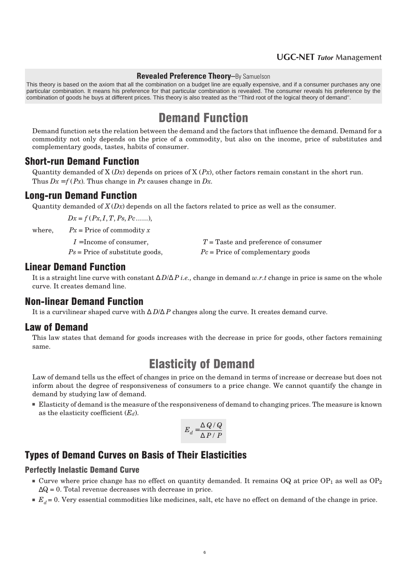#### **UGC-NET** *Tutor* **Management**

#### **Revealed Preference Theory–**By Samuelson

This theory is based on the axiom that all the combination on a budget line are equally expensive, and if a consumer purchases any one particular combination. It means his preference for that particular combination is revealed. The consumer reveals his preference by the combination of goods he buys at different prices. This theory is also treated as the ''Third root of the logical theory of demand''.

# Demand Function

Demand function sets the relation between the demand and the factors that influence the demand. Demand for a commodity not only depends on the price of a commodity, but also on the income, price of substitutes and complementary goods, tastes, habits of consumer.

#### Short-run Demand Function

Quantity demanded of X (*Dx*) depends on prices of X (*Px*), other factors remain constant in the short run. Thus  $Dx = f(Px)$ . Thus change in *Px* causes change in *Dx*.

#### Long-run Demand Function

Quantity demanded of  $X(Dx)$  depends on all the factors related to price as well as the consumer.

 $Dx = f(Px, I, T, Ps, Pc, \ldots,$ 

where,  $Px = \text{Price of commodity } x$ 

| $I =$ Income of consumer,                | $T =$ Taste and preference of consumer |
|------------------------------------------|----------------------------------------|
| $Ps = \text{Price of substitute goods},$ | $Pc =$ Price of complementary goods    |

### Linear Demand Function

It is a straight line curve with constant ∆ *D*/∆ *P i.e.,* change in demand *w.r.t* change in price is same on the whole curve. It creates demand line.

#### Non-linear Demand Function

It is a curvilinear shaped curve with ∆ *D*/∆ *P* changes along the curve. It creates demand curve.

#### Law of Demand

This law states that demand for goods increases with the decrease in price for goods, other factors remaining same.

### Elasticity of Demand

Law of demand tells us the effect of changes in price on the demand in terms of increase or decrease but does not inform about the degree of responsiveness of consumers to a price change. We cannot quantify the change in demand by studying law of demand.

■ Elasticity of demand is the measure of the responsiveness of demand to changing prices. The measure is known as the elasticity coefficient (*Ed*).

$$
E_d = \frac{\Delta Q / Q}{\Delta P / P}
$$

### Types of Demand Curves on Basis of Their Elasticities

#### Perfectly Inelastic Demand Curve

- **Curve** where price change has no effect on quantity demanded. It remains  $OQ$  at price  $OP_1$  as well as  $OP_2$  $\Delta Q = 0$ . Total revenue decreases with decrease in price.
- $E_d$  = 0. Very essential commodities like medicines, salt, etc have no effect on demand of the change in price.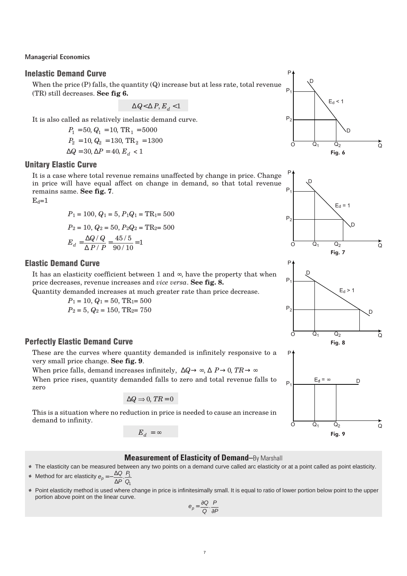#### Inelastic Demand Curve

When the price (P) falls, the quantity (Q) increase but at less rate, total revenue (TR) still decreases. **See fig 6.**

 $\Delta Q$ < $\Delta P, E_d$  <  $1$ 

It is also called as relatively inelastic demand curve.

 $P_1 = 50$ ,  $Q_1 = 10$ ,  $TR_1 = 5000$  $P_2 = 10, Q_2 = 130, TR_2 = 1300$  $\Delta Q = 30, \Delta P = 40, E_d$  < 1

#### Unitary Elastic Curve

It is a case where total revenue remains unaffected by change in price. Change in price will have equal affect on change in demand, so that total revenue remains same. **See fig. 7**.

 $E_d=1$ 

$$
P_1 = 100, Q_1 = 5, P_1 Q_1 = \text{TR}_1 = 500
$$
  

$$
P_2 = 10, Q_2 = 50, P_2 Q_2 = \text{TR}_2 = 500
$$
  

$$
E_d = \frac{\Delta Q / Q}{\Delta P / P} = \frac{45 / 5}{90 / 10} = 1
$$

#### Elastic Demand Curve

It has an elasticity coefficient between 1 and  $\infty$ , have the property that when price decreases, revenue increases and *vice versa*. **See fig. 8.**

Quantity demanded increases at much greater rate than price decrease.

 $P_1 = 10$ ,  $Q_1 = 50$ , TR<sub>1</sub>= 500  $P_2 = 5$ ,  $Q_2 = 150$ , TR<sub>2</sub> = 750

#### **Perfectly Elastic Demand Curve**

These are the curves where quantity demanded is infinitely responsive to a very small price change. **See fig. 9**.

When price falls, demand increases infinitely,  $\Delta Q \rightarrow \infty$ ,  $\Delta P \rightarrow 0$ ,  $TR \rightarrow \infty$ When price rises, quantity demanded falls to zero and total revenue falls to zero

$$
\Delta Q \Rightarrow 0, \, TR = 0
$$

This is a situation where no reduction in price is needed to cause an increase in demand to infinity.

 $E^{\vphantom{\dagger}}_d = \infty$ 

1







#### **Measurement of Elasticity of Demand–**By Marshall

- % The elasticity can be measured between any two points on a demand curve called arc elasticity or at a point called as point elasticity.
- % Method for arc elasticity *e <sup>p</sup>* = − *Q P* ∆ . 1 *P Q* ∆
- % Point elasticity method is used where change in price is infinitesimally small. It is equal to ratio of lower portion below point to the upper portion above point on the linear curve.

$$
e_p = \frac{\partial Q}{Q} \cdot \frac{P}{\partial P}
$$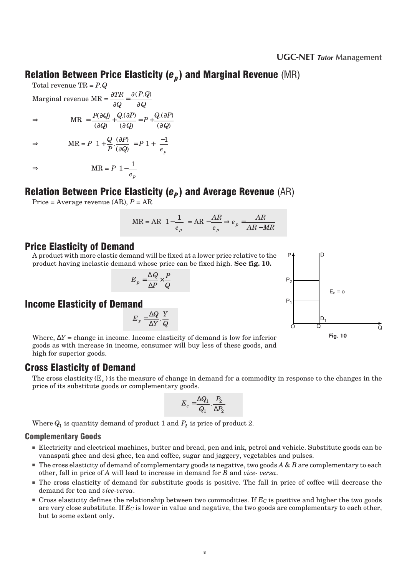### Relation Between Price Elasticity (*e<sup>p</sup>* ) and Marginal Revenue (MR)

*Q*

 $\overline{a}$  $\overline{)}$  J

J 1 Ι

∂

Total revenue TR = *P.Q* Marginal revenue MR =  $\frac{\partial}{\partial x}$ ∂ ∂ ∂ *TR Q P Q Q*  $=\frac{\partial (P,Q)}{\partial Q}$  $\Rightarrow$  MR =  $\frac{P(\partial Q)}{P(\partial P)} + \frac{Q(\partial P)}{P(\partial P)} = P +$ *Q*  $Q_{{\cdot}}(\partial P)$ *Q*  $P + \frac{Q(\partial P)}{Q(\partial P)}$ (  $(\partial Q)$  $.(\partial P)$  $(\partial Q)$  $.(\partial P)$  $(\partial Q)$  $\partial Q$ ∂ ∂ ∂ ∂  $\Rightarrow$  MR =  $P\left|1+\frac{Q}{R}\cdot\frac{(\partial P)}{(\partial R)}\right| = P\left|1+\frac{1}{\Box R}\right|$ L  $\overline{\phantom{a}}$  $\left[\frac{1}{e}\right] = P\left[1 + \left(\frac{-1}{e}\right)\right]$ l  $\overline{\phantom{a}}$ L L L L *Q P P Q P e p*  $\cdot \frac{(\partial P)}{(\partial \Omega)}$  $(\partial Q)$ ∂ ∂  $\Rightarrow$  MR = *P e p*  $1 - \frac{1}{\cdot}$ L L L L  $\overline{\phantom{a}}$ J  $\overline{\phantom{a}}$ J

# Relation Between Price Elasticity (*e<sup>P</sup>* ) and Average Revenue (AR)

Price = Average revenue (AR), *P* = AR

$$
MR = AR\left[1 - \frac{1}{e_p}\right] = AR - \frac{AR}{e_p} \Rightarrow e_p = \frac{AR}{AR - MR}
$$

### Price Elasticity of Demand

A product with more elastic demand will be fixed at a lower price relative to the product having inelastic demand whose price can be fixed high. **See fig. 10.**

$$
E_p=\frac{\Delta Q}{\Delta P}\times\frac{P}{Q}
$$

### Income Elasticity of Demand

 $E_v = \frac{\Delta Q}{\Delta V}$ *Y Y*  $\frac{\Delta Q}{\Delta Y} \cdot \frac{Y}{Q}$ ∆ .

Where, ∆*Y* = change in income. Income elasticity of demand is low for inferior goods as with increase in income, consumer will buy less of these goods, and high for superior goods.

### Cross Elasticity of Demand

The cross elasticity (E<sub>c</sub>) is the measure of change in demand for a commodity in response to the changes in the price of its substitute goods or complementary goods.

$$
E_c = \frac{\Delta Q_1}{Q_1} \cdot \frac{P_2}{\Delta P_2}
$$

Where  $Q_1$  is quantity demand of product  $1$  and  $P_2$  is price of product  $2.$ 

#### Complementary Goods

- Electricity and electrical machines, butter and bread, pen and ink, petrol and vehicle. Substitute goods can be vanaspati ghee and desi ghee, tea and coffee, sugar and jaggery, vegetables and pulses.
- The cross elasticity of demand of complementary goods is negative, two goods *A* & *B* are complementary to each other, fall in price of *A* will lead to increase in demand for *B* and *vice- versa*.
- The cross elasticity of demand for substitute goods is positive. The fall in price of coffee will decrease the demand for tea and *vice-versa*.
- Cross elasticity defines the relationship between two commodities. If *E<sup>C</sup>* is positive and higher the two goods are very close substitute. If *E<sup>C</sup>* is lower in value and negative, the two goods are complementary to each other, but to some extent only.

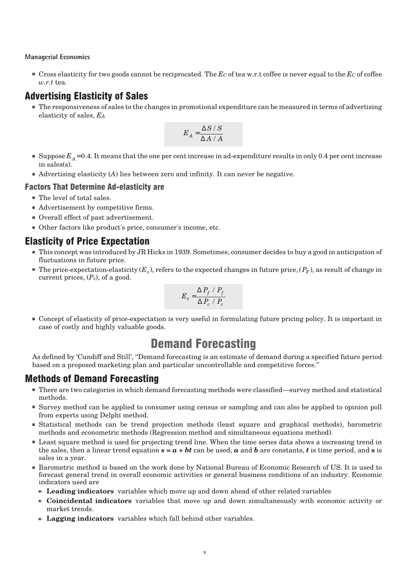■ Cross elasticity for two goods cannot be reciprocated. The *E<sup>C</sup>* of tea w.r.t coffee is never equal to the *E<sup>C</sup>* of coffee *w.r.t* tea.

### Advertising Elasticity of Sales

■ The responsiveness of sales to the changes in promotional expenditure can be measured in terms of advertising elasticity of sales, *E<sup>A</sup>*

$$
E_A = \frac{\Delta S / S}{\Delta A / A}
$$

- $\blacksquare$  Suppose  $E_A^{}$  = 0.4. It means that the one per cent increase in ad-expenditure results in only 0.4 per cent increase in sales(s).
- Advertising elasticity (*A*) lies between zero and infinity. It can never be negative.

#### **Factors That Determine Ad-elasticity are**

- The level of total sales.
- Advertisement by competitive firms.
- Overall effect of past advertisement.
- Other factors like product's price, consumer's income, etc.

### Elasticity of Price Expectation

- This concept was introduced by JR Hicks in 1939. Sometimes, consumer decides to buy a good in anticipation of fluctuations in future price.
- $\blacksquare$  The price-expectation-elasticity ( $E_x$ ), refers to the expected changes in future price, ( $P_F$ ), as result of change in current prices,  $(P_c)$ , of a good.

$$
E_x = \frac{\Delta P_f / P_f}{\Delta P_c / P_c}
$$

■ Concept of elasticity of price-expectation is very useful in formulating future pricing policy. It is important in case of costly and highly valuable goods.

# Demand Forecasting

As defined by 'Cundiff and Still', ''Demand forecasting is an estimate of demand during a specified future period based on a proposed marketing plan and particular uncontrollable and competitive forces.''

### Methods of Demand Forecasting

- There are two categories in which demand forecasting methods were classified—survey method and statistical methods.
- Survey method can be applied to consumer using census or sampling and can also be applied to opinion poll from experts using Delphi method.
- Statistical methods can be trend projection methods (least square and graphical methods), barometric methods and econometric methods (Regression method and simultaneous equations method).
- Least square method is used for projecting trend line. When the time series data shows a increasing trend in the sales, then a linear trend equation  $s = a + bt$  can be used, *a* and *b* are constants, *t* is time period, and *s* is sales in a year.
- Barometric method is based on the work done by National Bureau of Economic Research of US. It is used to forecast general trend in overall economic activities or general business conditions of an industry. Economic indicators used are
	- **Leading indicators** variables which move up and down ahead of other related variables
	- d **Coincidental indicators** variables that move up and down simultaneously with economic activity or market trends.
	- **Lagging indicators** variables which fall behind other variables.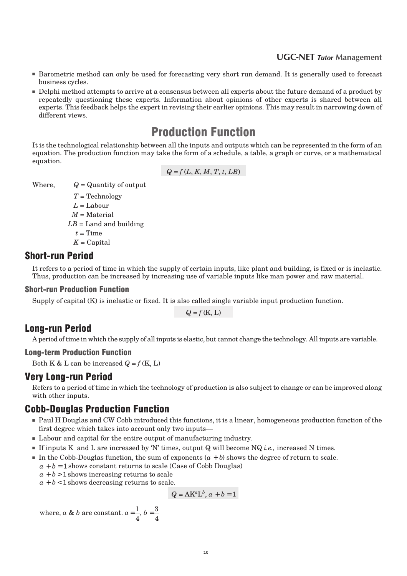#### 1 2 **UGC-NET** *Tutor* **Management**

- Barometric method can only be used for forecasting very short run demand. It is generally used to forecast business cycles.
- Delphi method attempts to arrive at a consensus between all experts about the future demand of a product by repeatedly questioning these experts. Information about opinions of other experts is shared between all experts. This feedback helps the expert in revising their earlier opinions. This may result in narrowing down of different views.

# Production Function

It is the technological relationship between all the inputs and outputs which can be represented in the form of an equation. The production function may take the form of a schedule, a table, a graph or curve, or a mathematical equation.

$$
Q = f(L, K, M, T, t, LB)
$$

Where,  $Q =$  Quantity of output

*T* = Technology  $L =$ Labour *M* = Material  $LB =$  Land and building  $t =$ Time  $K =$ Capital

### Short-run Period

It refers to a period of time in which the supply of certain inputs, like plant and building, is fixed or is inelastic. Thus, production can be increased by increasing use of variable inputs like man power and raw material.

#### Short-run Production Function

Supply of capital (K) is inelastic or fixed. It is also called single variable input production function.

 $Q = f(K, L)$ 

### Long-run Period

A period of time in which the supply of all inputs is elastic, but cannot change the technology. All inputs are variable.

#### Long-term Production Function

Both K & L can be increased  $Q = f(K, L)$ 

#### Very Long-run Period

Refers to a period of time in which the technology of production is also subject to change or can be improved along with other inputs.

### **Cobb-Douglas Production Function**

- Paul H Douglas and CW Cobb introduced this functions, it is a linear, homogeneous production function of the first degree which takes into account only two inputs—
- Labour and capital for the entire output of manufacturing industry.
- If inputs K and L are increased by 'N' times, output Q will become NQ *i.e.,* increased N times.
- $\blacksquare$  In the Cobb-Douglas function, the sum of exponents  $(a + b)$  shows the degree of return to scale.
- $a + b = 1$  shows constant returns to scale (Case of Cobb Douglas)
- $a + b$  > 1 shows increasing returns to scale

 $a + b < 1$  shows decreasing returns to scale.

$$
Q = AK^aL^b, a+b=1
$$

where, *a* & *b* are constant.  $a = \frac{1}{4}$ 4  $, b = \frac{3}{2}$ 4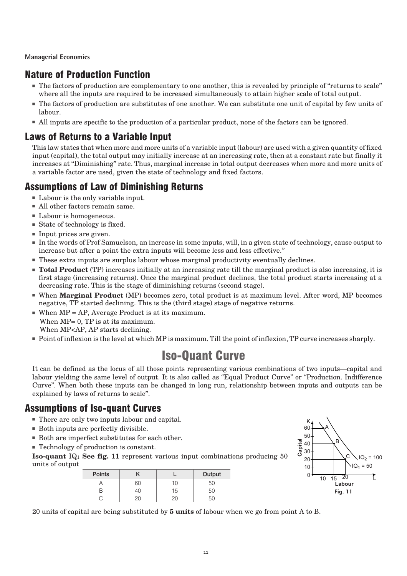### Nature of Production Function

- The factors of production are complementary to one another, this is revealed by principle of ''returns to scale'' where all the inputs are required to be increased simultaneously to attain higher scale of total output.
- The factors of production are substitutes of one another. We can substitute one unit of capital by few units of labour.
- All inputs are specific to the production of a particular product, none of the factors can be ignored.

### Laws of Returns to a Variable Input

This law states that when more and more units of a variable input (labour) are used with a given quantity of fixed input (capital), the total output may initially increase at an increasing rate, then at a constant rate but finally it increases at ''Diminishing'' rate. Thus, marginal increase in total output decreases when more and more units of a variable factor are used, given the state of technology and fixed factors.

### Assumptions of Law of Diminishing Returns

- Labour is the only variable input.
- All other factors remain same.
- Labour is homogeneous.
- State of technology is fixed.
- Input prices are given.
- In the words of Prof Samuelson, an increase in some inputs, will, in a given state of technology, cause output to increase but after a point the extra inputs will become less and less effective.''
- These extra inputs are surplus labour whose marginal productivity eventually declines.
- **Total Product** (TP) increases initially at an increasing rate till the marginal product is also increasing, it is first stage (increasing returns). Once the marginal product declines, the total product starts increasing at a decreasing rate. This is the stage of diminishing returns (second stage).
- When **Marginal Product** (MP) becomes zero, total product is at maximum level. After word, MP becomes negative, TP started declining. This is the (third stage) stage of negative returns.
- $\blacksquare$  When MP = AP, Average Product is at its maximum. When MP= 0, TP is at its maximum. When MP<AP, AP starts declining.
- Point of inflexion is the level at which MP is maximum. Till the point of inflexion, TP curve increases sharply.

# Iso-Quant Curve

It can be defined as the locus of all those points representing various combinations of two inputs—capital and labour yielding the same level of output. It is also called as "Equal Product Curve" or "Production. Indifference Curve''. When both these inputs can be changed in long run, relationship between inputs and outputs can be explained by laws of returns to scale''.

### Assumptions of Iso-quant Curves

- There are only two inputs labour and capital.
- Both inputs are perfectly divisible.
- Both are imperfect substitutes for each other.
- Technology of production is constant.

**Iso-quant**  $IQ_1$  **See fig. 11** represent various input combinations producing 50 units of output

| <b>Points</b> |    |                 | Output |
|---------------|----|-----------------|--------|
|               | SС | 10 <sup>1</sup> | 50     |
|               | 40 | 15              | 50     |
|               |    |                 |        |



20 units of capital are being substituted by **5 units** of labour when we go from point A to B.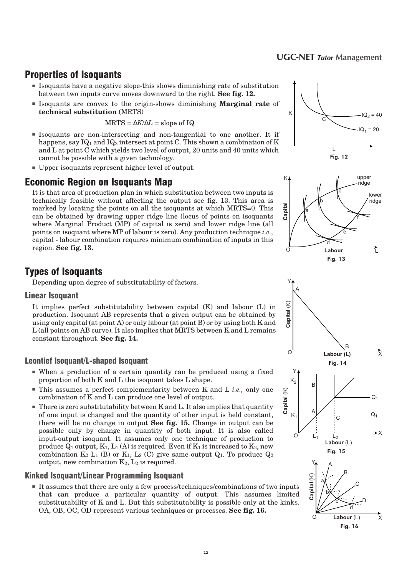#### 1 4 **UGC-NET** *Tutor* **Management**

### Properties of Isoquants

- Isoquants have a negative slope-this shows diminishing rate of substitution between two inputs curve moves downward to the right. **See fig. 12.**
- Isoquants are convex to the origin-shows diminishing **Marginal rate** of **technical substitution** (MRTS)

$$
MRTS = \Delta K/\Delta L = \text{slope of IQ}
$$

- Isoquants are non-intersecting and non-tangential to one another. It if happens, say  $IQ_1$  and  $IQ_2$  intersect at point C. This shown a combination of K and L at point C which yields two level of output, 20 units and 40 units which cannot be possible with a given technology.
- Upper isoquants represent higher level of output.

### Economic Region on Isoquants Map

It is that area of production plan in which substitution between two inputs is technically feasible without affecting the output see fig. 13. This area is marked by locating the points on all the isoquants at which MRTS=0. This can be obtained by drawing upper ridge line (locus of points on isoquants where Marginal Product (MP) of capital is zero) and lower ridge line (all points on isoquant where MP of labour is zero). Any production technique *i.e.,* capital - labour combination requires minimum combination of inputs in this region. **See fig. 13.**







Depending upon degree of substitutability of factors.

#### **Linear Isoquant**

It implies perfect substitutability between capital (K) and labour (L) in production. Isoquant AB represents that a given output can be obtained by using only capital (at point A) or only labour (at point B) or by using both K and L (all points on AB curve). It also implies that MRTS between K and L remains constant throughout. **See fig. 14.**

#### **Leontief Isoquant/L-shaped Isoquant**

- When a production of a certain quantity can be produced using a fixed proportion of both K and L the isoquant takes L shape.
- This assumes a perfect complementarity between K and L *i.e.*, only one combination of K and L can produce one level of output.
- There is zero substitutability between K and L. It also implies that quantity of one input is changed and the quantity of other input is held constant, there will be no change in output **See fig. 15.** Change in output can be possible only by change in quantity of both input. It is also called input-output isoquant. It assumes only one technique of production to produce  $\overline{Q}_1$  output,  $K_1$ ,  $L_1$  (A) is required. Even if  $K_1$  is increased to  $K_2$ , new combination  $K_2$  L<sub>1</sub> (B) or  $K_1$ , L<sub>2</sub> (C) give same output  $Q_1$ . To produce  $Q_2$ output, new combination  $K_2$ ,  $L_2$  is required.

#### **Kinked Isoquant/Linear Programming Isoquant**

■ It assumes that there are only a few process/techniques/combinations of two inputs that can produce a particular quantity of output. This assumes limited substitutability of K and L. But this substitutability is possible only at the kinks. OA, OB, OC, OD represent various techniques or processes. **See fig. 16.**



**Capital** (K)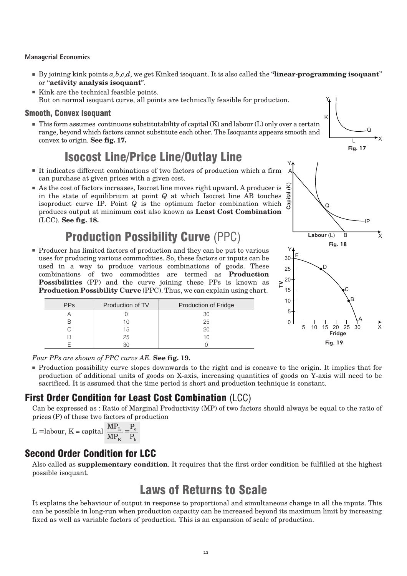- $\blacksquare$  By joining kink points  $a, b, c, d$ , we get Kinked isoquant. It is also called the "**linear-programming isoquant**" or ''**activity analysis isoquant**''.
- Kink are the technical feasible points. But on normal isoquant curve, all points are technically feasible for production.

#### **Smooth, Convex Isoquant**

■ This form assumes continuous substitutability of capital (K) and labour (L) only over a certain range, beyond which factors cannot substitute each other. The Isoquants appears smooth and convex to origin. **See fig. 17.**

# Isocost Line/Price Line/Outlay Line

- It indicates different combinations of two factors of production which a firm can purchase at given prices with a given cost.
- As the cost of factors increases, Isocost line moves right upward. A producer is in the state of equilibrium at point *Q* at which Isocost line AB touches isoproduct curve IP. Point *Q* is the optimum factor combination which produces output at minimum cost also known as **Least Cost Combination** (LCC). **See fig. 18.**

# Production Possibility Curve (PPC)

■ Producer has limited factors of production and they can be put to various uses for producing various commodities. So, these factors or inputs can be used in a way to produce various combinations of goods. These combinations of two commodities are termed as **Production Possibilities** (PP) and the curve joining these PPs is known as **Production Possibility Curve** (PPC). Thus, we can explain using chart.

| <b>PPs</b> | Production of TV | Production of Fridge |
|------------|------------------|----------------------|
|            |                  | 30                   |
|            |                  | 25                   |
|            | 15               | 20                   |
|            | 25               |                      |
|            |                  |                      |



Y

I

*Four PPs are shown of PPC curve AE.* **See fig. 19.**

■ Production possibility curve slopes downwards to the right and is concave to the origin. It implies that for production of additional units of goods on X-axis, increasing quantities of goods on Y-axis will need to be sacrificed. It is assumed that the time period is short and production technique is constant.

### First Order Condition for Least Cost Combination (LCC)

Can be expressed as : Ratio of Marginal Productivity (MP) of two factors should always be equal to the ratio of prices (P) of these two factors of production

$$
L = labour, K = capital \frac{MP_L}{MP_K} = \frac{P_e}{P_k}
$$

### Second Order Condition for LCC

Also called as **supplementary condition**. It requires that the first order condition be fulfilled at the highest possible isoquant.

# Laws of Returns to Scale

It explains the behaviour of output in response to proportional and simultaneous change in all the inputs. This can be possible in long-run when production capacity can be increased beyond its maximum limit by increasing fixed as well as variable factors of production. This is an expansion of scale of production.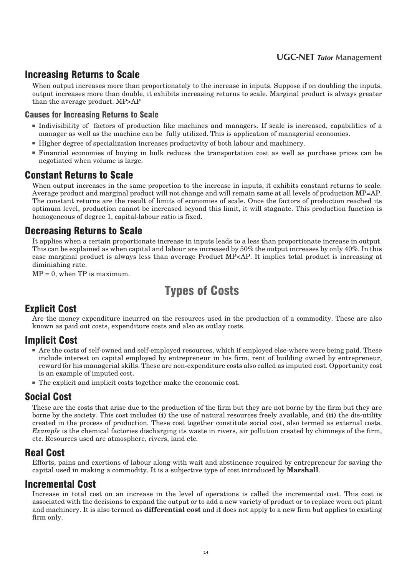### Increasing Returns to Scale

When output increases more than proportionately to the increase in inputs. Suppose if on doubling the inputs, output increases more than double, it exhibits increasing returns to scale. Marginal product is always greater than the average product. MP>AP

#### **Causes for Increasing Returns to Scale**

- Indivisibility of factors of production like machines and managers. If scale is increased, capabilities of a manager as well as the machine can be fully utilized. This is application of managerial economies.
- Higher degree of specialization increases productivity of both labour and machinery.
- Financial economies of buying in bulk reduces the transportation cost as well as purchase prices can be negotiated when volume is large.

### Constant Returns to Scale

When output increases in the same proportion to the increase in inputs, it exhibits constant returns to scale. Average product and marginal product will not change and will remain same at all levels of production MP=AP. The constant returns are the result of limits of economies of scale. Once the factors of production reached its optimum level, production cannot be increased beyond this limit, it will stagnate. This production function is homogeneous of degree 1, capital-labour ratio is fixed.

### **Decreasing Returns to Scale**

It applies when a certain proportionate increase in inputs leads to a less than proportionate increase in output. This can be explained as when capital and labour are increased by 50% the output increases by only 40%. In this case marginal product is always less than average Product MP<AP. It implies total product is increasing at diminishing rate.

 $MP = 0$ , when  $TP$  is maximum.

# Types of Costs

### **Explicit Cost**

Are the money expenditure incurred on the resources used in the production of a commodity. These are also known as paid out costs, expenditure costs and also as outlay costs.

### **Implicit Cost**

- Are the costs of self-owned and self-employed resources, which if employed else-where were being paid. These include interest on capital employed by entrepreneur in his firm, rent of building owned by entrepreneur, reward for his managerial skills. These are non-expenditure costs also called as imputed cost. Opportunity cost is an example of imputed cost.
- The explicit and implicit costs together make the economic cost.

### Social Cost

These are the costs that arise due to the production of the firm but they are not borne by the firm but they are borne by the society. This cost includes **(i)** the use of natural resources freely available, and **(ii)** the dis-utility created in the process of production. These cost together constitute social cost, also termed as external costs. *Example* is the chemical factories discharging its waste in rivers, air pollution created by chimneys of the firm, etc. Resources used are atmosphere, rivers, land etc.

### Real Cost

Efforts, pains and exertions of labour along with wait and abstinence required by entrepreneur for saving the capital used in making a commodity. It is a subjective type of cost introduced by **Marshall**.

### Incremental Cost

Increase in total cost on an increase in the level of operations is called the incremental cost. This cost is associated with the decisions to expand the output or to add a new variety of product or to replace worn out plant and machinery. It is also termed as **differential cost** and it does not apply to a new firm but applies to existing firm only.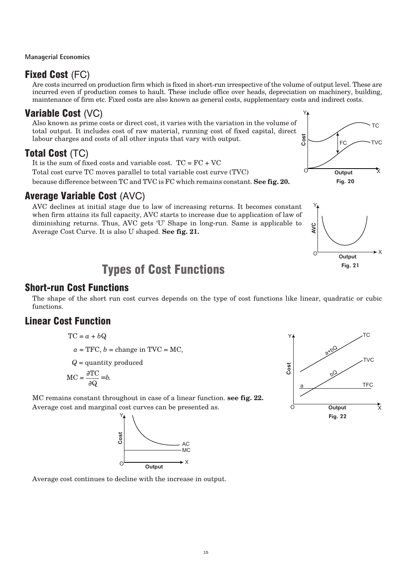### Fixed Cost (FC)

Are costs incurred on production firm which is fixed in short-run irrespective of the volume of output level. These are incurred even if production comes to hault. These include office over heads, depreciation on machinery, building, maintenance of firm etc. Fixed costs are also known as general costs, supplementary costs and indirect costs.

### Variable Cost (VC)

Also known as prime costs or direct cost, it varies with the variation in the volume of total output. It includes cost of raw material, running cost of fixed capital, direct labour charges and costs of all other inputs that vary with output.

### Total Cost (TC)

It is the sum of fixed costs and variable cost.  $TC = FC + VC$ Total cost curve TC moves parallel to total variable cost curve (TVC) because difference between TC and TVC is FC which remains constant. **See fig. 20.**

### Average Variable Cost (AVC)

AVC declines at initial stage due to law of increasing returns. It becomes constant when firm attains its full capacity, AVC starts to increase due to application of law of diminishing returns. Thus, AVC gets 'U' Shape in long-run. Same is applicable to Average Cost Curve. It is also U shaped. **See fig. 21.**

# Types of Cost Functions

### Short-run Cost Functions

The shape of the short run cost curves depends on the type of cost functions like linear, quadratic or cubic functions.

### Linear Cost Function

$$
\mathrm{TC} = a + b\mathrm{Q}
$$

$$
a = \text{TFC}, b = \text{change in TVC} = \text{MC},
$$

*Q* = quantity produced

$$
MC = \frac{\partial TC}{\partial Q} = b.
$$

MC remains constant throughout in case of a linear function. **see fig. 22.** Average cost and marginal cost curves can be presented as.



Average cost continues to decline with the increase in output.





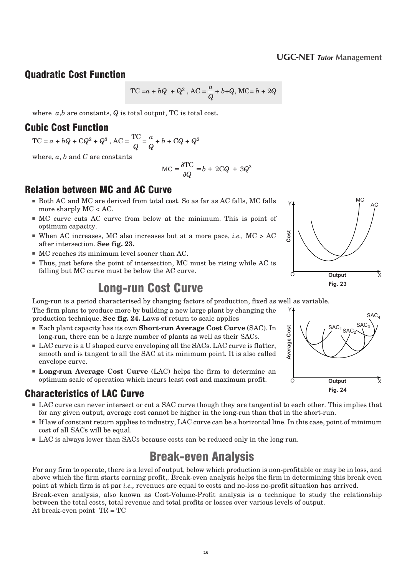### Quadratic Cost Function

TC =
$$
a + bQ + Q^2
$$
, AC =  $\frac{a}{Q} + b + Q$ , MC =  $b + 2Q$ 

where *a*,*b* are constants, *Q* is total output, TC is total cost.

### Cubic Cost Function

 $TC = a + bQ + CQ^2 + Q^3$ ,  $AC = \frac{TC}{C}$ *Q*  $=\frac{a}{a}$ *Q* + *b* + C*Q* + *Q*<sup>2</sup>

where, *a*, *b* and *C* are constants

$$
MC = \frac{\partial TC}{\partial Q} = b + 2CQ + 3Q^2
$$

### Relation between MC and AC Curve

- Both AC and MC are derived from total cost. So as far as AC falls, MC falls more sharply MC < AC.
- MC curve cuts AC curve from below at the minimum. This is point of optimum capacity.
- When AC increases, MC also increases but at a more pace, *i.e.*,  $MC > AC$ after intersection. **See fig. 23.**
- MC reaches its minimum level sooner than AC.
- Thus, just before the point of intersection, MC must be rising while AC is falling but MC curve must be below the AC curve.

# Long-run Cost Curve

Long-run is a period characterised by changing factors of production, fixed as well as variable. The firm plans to produce more by building a new large plant by changing the Y

production technique. **See fig. 24.** Laws of return to scale applies

- Each plant capacity has its own **Short-run Average Cost Curve** (SAC). In long-run, there can be a large number of plants as well as their SACs.
- LAC curve is a U shaped curve enveloping all the SACs. LAC curve is flatter, smooth and is tangent to all the SAC at its minimum point. It is also called envelope curve.
- **Long-run Average Cost Curve** (LAC) helps the firm to determine an optimum scale of operation which incurs least cost and maximum profit.

### Characteristics of LAC Curve

- LAC curve can never intersect or cut a SAC curve though they are tangential to each other. This implies that for any given output, average cost cannot be higher in the long-run than that in the short-run.
- If law of constant return applies to industry, LAC curve can be a horizontal line. In this case, point of minimum cost of all SACs will be equal.
- LAC is always lower than SACs because costs can be reduced only in the long run.

# Break-even Analysis

For any firm to operate, there is a level of output, below which production is non-profitable or may be in loss, and above which the firm starts earning profit,. Break-even analysis helps the firm in determining this break even point at which firm is at par *i.e.,* revenues are equal to costs and no-loss no-profit situation has arrived.

Break-even analysis, also known as Cost-Volume-Profit analysis is a technique to study the relationship between the total costs, total revenue and total profits or losses over various levels of output. At break-even point TR = TC



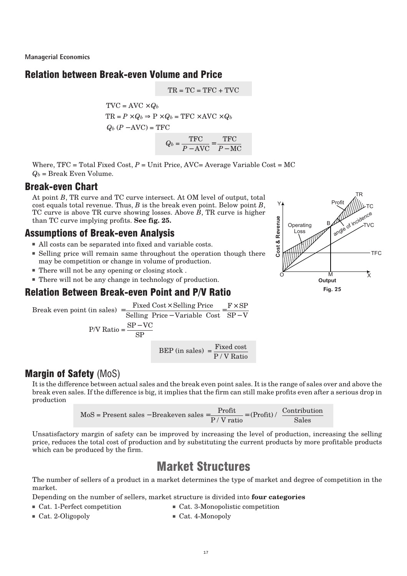### **Relation between Break-even Volume and Price**

 $TR = TC = TFC + TVC$ 

*P* − AVC

−

*P* – MC

 $TVC = AVC \times Q_b$  $TR = P \times Q_b \Rightarrow P \times Q_b = TFC \times AVC \times Q_b$  $Q_b (P - \text{AVC}) = \text{TFC}$  $Q_b = \frac{\text{TFC}}{\sum_{i=1}^{n} P_i}$ = TFC

Where,  $TFC = Total Fixed Cost, P = Unit Price, AVC = Average Variable Cost = MC$  $Q_b$  = Break Even Volume.

### Break-even Chart

At point *B*, TR curve and TC curve intersect. At OM level of output, total cost equals total revenue. Thus, *B* is the break even point. Below point *B*, TC curve is above TR curve showing losses. Above *B*, TR curve is higher than TC curve implying profits. **See fig. 25.**

### Assumptions of Break-even Analysis

- All costs can be separated into fixed and variable costs.
- Selling price will remain same throughout the operation though there may be competition or change in volume of production.
- There will not be any opening or closing stock .
- There will not be any change in technology of production.

### Relation Between Break-even Point and P/V Ratio

Break even point (in sales) = 
$$
\frac{\text{Fixed Cost} \times \text{Selling Price}}{\text{Selling Price} - \text{Variable Cost}} = \frac{\text{F} \times \text{SP}}{\text{SP} - \text{V}}
$$

\nP/V Ratio = 
$$
\frac{\text{SP} - \text{VC}}{\text{SP}}
$$

\nBEP (in sales) = 
$$
\frac{\text{Fixed cost}}{\text{P} / \text{V Ratio}}
$$



### **Margin of Safety (MoS)**

It is the difference between actual sales and the break even point sales. It is the range of sales over and above the break even sales. If the difference is big, it implies that the firm can still make profits even after a serious drop in production

$$
MoS = Present\ sales - Breakeven\ sales = \frac{Profit}{P / V\ ratio} = (Profit) / (\frac{Continution}{Sales})
$$

Unsatisfactory margin of safety can be improved by increasing the level of production, increasing the selling price, reduces the total cost of production and by substituting the current products by more profitable products which can be produced by the firm.

# **Market Structures**

The number of sellers of a product in a market determines the type of market and degree of competition in the market.

Depending on the number of sellers, market structure is divided into **four categories**

- Cat. 1-Perfect competition Cat. 3-Monopolistic competition
	-
- Cat. 2-Oligopoly Cat. 4-Monopoly
	- 17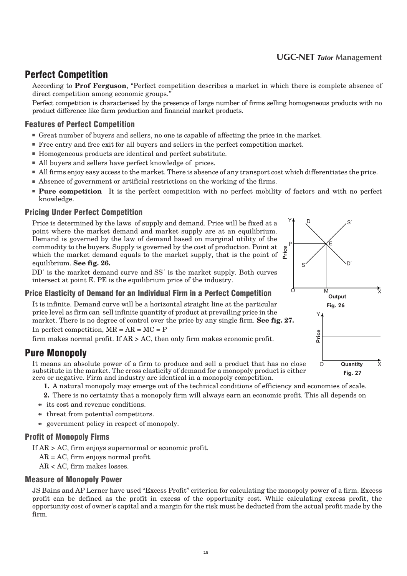#### 2 0 **UGC-NET** *Tutor* **Management**

### Perfect Competition

According to Prof Ferguson, "Perfect competition describes a market in which there is complete absence of direct competition among economic groups.''

Perfect competition is characterised by the presence of large number of firms selling homogeneous products with no product difference like farm production and financial market products.

#### **Features of Perfect Competition**

- Great number of buyers and sellers, no one is capable of affecting the price in the market.
- Free entry and free exit for all buyers and sellers in the perfect competition market.
- Homogeneous products are identical and perfect substitute.
- All buyers and sellers have perfect knowledge of prices.
- All firms enjoy easy access to the market. There is absence of any transport cost which differentiates the price.
- Absence of government or artificial restrictions on the working of the firms.
- **Pure competition** It is the perfect competition with no perfect mobility of factors and with no perfect knowledge.

#### **Pricing Under Perfect Competition**

Price is determined by the laws of supply and demand. Price will be fixed at a point where the market demand and market supply are at an equilibrium. Demand is governed by the law of demand based on marginal utility of the commodity to the buyers. Supply is governed by the cost of production. Point at commodity to the buyers. Supply is governed by the cost of production. Point at experience of the market supply, that is the point of  $\frac{8}{6}$ equilibrium. **See fig. 26.**

DD′ is the market demand curve and SS′ is the market supply. Both curves intersect at point E. PE is the equilibrium price of the industry.

#### **Price Elasticity of Demand for an Individual Firm in a Perfect Competition**

It is infinite. Demand curve will be a horizontal straight line at the particular price level as firm can sell infinite quantity of product at prevailing price in the market. There is no degree of control over the price by any single firm. **See fig. 27.**

In perfect competition,  $MR = AR = MC = P$ 

firm makes normal profit. If AR > AC, then only firm makes economic profit.

### **Pure Monopoly**

It means an absolute power of a firm to produce and sell a product that has no close substitute in the market. The cross elasticity of demand for a monopoly product is either zero or negative. Firm and industry are identical in a monopoly competition.

- **1.** A natural monopoly may emerge out of the technical conditions of efficiency and economies of scale.
- **2.** There is no certainty that a monopoly firm will always earn an economic profit. This all depends on
- $\bullet$  its cost and revenue conditions.
- $\bullet$  threat from potential competitors.
- $\bullet$  government policy in respect of monopoly.

#### Profit of Monopoly Firms

If AR > AC, firm enjoys supernormal or economic profit.

AR = AC, firm enjoys normal profit.

AR < AC, firm makes losses.

#### Measure of Monopoly Power

JS Bains and AP Lerner have used ''Excess Profit'' criterion for calculating the monopoly power of a firm. Excess profit can be defined as the profit in excess of the opportunity cost. While calculating excess profit, the opportunity cost of owner's capital and a margin for the risk must be deducted from the actual profit made by the firm.

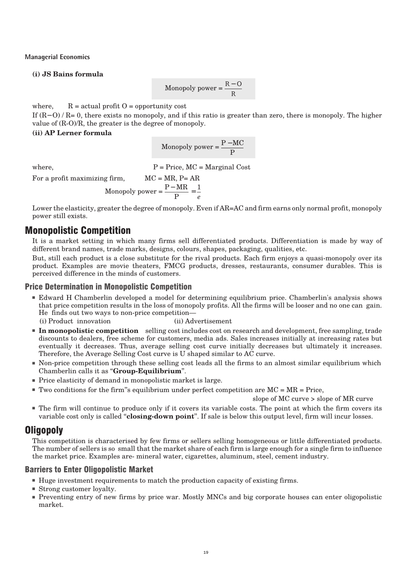#### **(i) JS Bains formula**

$$
Monopoly power = \frac{R - O}{R}
$$

where,  $R = actual profit O = opportunity cost$ 

If (R− O) / R= 0, there exists no monopoly, and if this ratio is greater than zero, there is monopoly. The higher value of (R-O)/R, the greater is the degree of monopoly.

#### **(ii) AP Lerner formula**

$$
Monopoly power = \frac{P - MC}{P}
$$

where,  $P = Price, MC = Marginal Cost$ 

For a profit maximizing firm,  $MC = MR$ ,  $P = AR$ 

$$
Monopoly power = \frac{P - MR}{P} = \frac{1}{e}
$$

Lower the elasticity, greater the degree of monopoly. Even if AR=AC and firm earns only normal profit, monopoly power still exists.

### Monopolistic Competition

It is a market setting in which many firms sell differentiated products. Differentiation is made by way of different brand names, trade marks, designs, colours, shapes, packaging, qualities, etc.

But, still each product is a close substitute for the rival products. Each firm enjoys a quasi-monopoly over its product. Examples are movie theaters, FMCG products, dresses, restaurants, consumer durables. This is perceived difference in the minds of customers.

#### Price Determination in Monopolistic Competition

■ Edward H Chamberlin developed a model for determining equilibrium price. Chamberlin's analysis shows that price competition results in the loss of monopoly profits. All the firms will be looser and no one can gain. He finds out two ways to non-price competition—

(i) Product innovation (ii) Advertisement

- **In monopolistic competition** selling cost includes cost on research and development, free sampling, trade discounts to dealers, free scheme for customers, media ads. Sales increases initially at increasing rates but eventually it decreases. Thus, average selling cost curve initially decreases but ultimately it increases. Therefore, the Average Selling Cost curve is U shaped similar to AC curve.
- Non-price competition through these selling cost leads all the firms to an almost similar equilibrium which Chamberlin calls it as ''**Group-Equilibrium**''.
- Price elasticity of demand in monopolistic market is large.
- $\blacksquare$  Two conditions for the firm''s equilibrium under perfect competition are  $MC = MR = Price$ .

slope of MC curve > slope of MR curve

■ The firm will continue to produce only if it covers its variable costs. The point at which the firm covers its variable cost only is called ''**closing-down point**''. If sale is below this output level, firm will incur losses.

### Oligopoly

This competition is characterised by few firms or sellers selling homogeneous or little differentiated products. The number of sellers is so small that the market share of each firm is large enough for a single firm to influence the market price. Examples are- mineral water, cigarettes, aluminum, steel, cement industry.

#### Barriers to Enter Oligopolistic Market

- Huge investment requirements to match the production capacity of existing firms.
- Strong customer loyalty.
- Preventing entry of new firms by price war. Mostly MNCs and big corporate houses can enter oligopolistic market.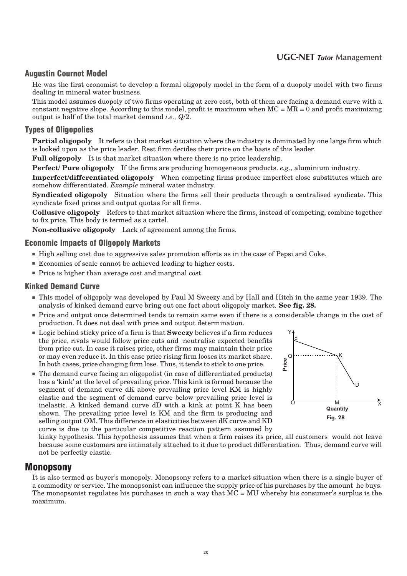#### 2 2 **UGC-NET** *Tutor* **Management**

#### Augustin Cournot Model

He was the first economist to develop a formal oligopoly model in the form of a duopoly model with two firms dealing in mineral water business.

This model assumes duopoly of two firms operating at zero cost, both of them are facing a demand curve with a constant negative slope. According to this model, profit is maximum when  $MC = MR = 0$  and profit maximizing output is half of the total market demand *i.e., Q*/2.

#### Types of Oligopolies

**Partial oligopoly** It refers to that market situation where the industry is dominated by one large firm which is looked upon as the price leader. Rest firm decides their price on the basis of this leader.

**Full oligopoly** It is that market situation where there is no price leadership.

**Perfect/ Pure oligopoly** If the firms are producing homogeneous products. *e.g.*, aluminium industry.

**Imperfect/differentiated oligopoly** When competing firms produce imperfect close substitutes which are somehow differentiated. *Example* mineral water industry.

**Syndicated oligopoly** Situation where the firms sell their products through a centralised syndicate. This syndicate fixed prices and output quotas for all firms.

**Collusive oligopoly** Refers to that market situation where the firms, instead of competing, combine together to fix price. This body is termed as a cartel.

**Non-collusive oligopoly** Lack of agreement among the firms.

#### **Economic Impacts of Oligopoly Markets**

- High selling cost due to aggressive sales promotion efforts as in the case of Pepsi and Coke.
- Economies of scale cannot be achieved leading to higher costs.
- Price is higher than average cost and marginal cost.

#### **Kinked Demand Curve**

- This model of oligopoly was developed by Paul M Sweezy and by Hall and Hitch in the same year 1939. The analysis of kinked demand curve bring out one fact about oligopoly market. **See fig. 28.**
- Price and output once determined tends to remain same even if there is a considerable change in the cost of production. It does not deal with price and output determination.
- Logic behind sticky price of a firm is that **Sweezy** believes if a firm reduces the price, rivals would follow price cuts and neutralise expected benefits from price cut. In case it raises price, other firms may maintain their price or may even reduce it. In this case price rising firm looses its market share. In both cases, price changing firm lose. Thus, it tends to stick to one price.
- The demand curve facing an oligopolist (in case of differentiated products) has a 'kink' at the level of prevailing price. This kink is formed because the segment of demand curve dK above prevailing price level KM is highly elastic and the segment of demand curve below prevailing price level is inelastic. A kinked demand curve dD with a kink at point K has been shown. The prevailing price level is KM and the firm is producing and selling output OM. This difference in elasticities between dK curve and KD curve is due to the particular competitive reaction pattern assumed by



kinky hypothesis. This hypothesis assumes that when a firm raises its price, all customers would not leave because some customers are intimately attached to it due to product differentiation. Thus, demand curve will not be perfectly elastic.

#### Monopsony

It is also termed as buyer's monopoly. Monopsony refers to a market situation when there is a single buyer of a commodity or service. The monopsonist can influence the supply price of his purchases by the amount he buys. The monopsonist regulates his purchases in such a way that  $MC = MU$  whereby his consumer's surplus is the maximum.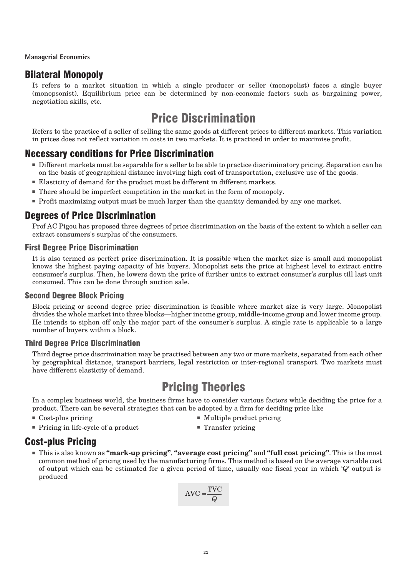### Bilateral Monopoly

It refers to a market situation in which a single producer or seller (monopolist) faces a single buyer (monopsonist). Equilibrium price can be determined by non-economic factors such as bargaining power, negotiation skills, etc.

# Price Discrimination

Refers to the practice of a seller of selling the same goods at different prices to different markets. This variation in prices does not reflect variation in costs in two markets. It is practiced in order to maximise profit.

### **Necessary conditions for Price Discrimination**

- Different markets must be separable for a seller to be able to practice discriminatory pricing. Separation can be on the basis of geographical distance involving high cost of transportation, exclusive use of the goods.
- Elasticity of demand for the product must be different in different markets.
- There should be imperfect competition in the market in the form of monopoly.
- Profit maximizing output must be much larger than the quantity demanded by any one market.

### **Degrees of Price Discrimination**

Prof AC Pigou has proposed three degrees of price discrimination on the basis of the extent to which a seller can extract consumers's surplus of the consumers.

#### First Degree Price Discrimination

It is also termed as perfect price discrimination. It is possible when the market size is small and monopolist knows the highest paying capacity of his buyers. Monopolist sets the price at highest level to extract entire consumer's surplus. Then, he lowers down the price of further units to extract consumer's surplus till last unit consumed. This can be done through auction sale.

#### Second Degree Block Pricing

Block pricing or second degree price discrimination is feasible where market size is very large. Monopolist divides the whole market into three blocks—higher income group, middle-income group and lower income group. He intends to siphon off only the major part of the consumer's surplus. A single rate is applicable to a large number of buyers within a block.

#### Third Degree Price Discrimination

Third degree price discrimination may be practised between any two or more markets, separated from each other by geographical distance, transport barriers, legal restriction or inter-regional transport. Two markets must have different elasticity of demand.

# **Pricing Theories**

In a complex business world, the business firms have to consider various factors while deciding the price for a product. There can be several strategies that can be adopted by a firm for deciding price like

- 
- Cost-plus pricing Multiple product pricing Multiple product pricing
- Pricing in life-cycle of a product Transfer pricing
	-

### **Cost-plus Pricing**

■ This is also known as **"mark-up pricing"**, **"average cost pricing"** and **"full cost pricing"**. This is the most common method of pricing used by the manufacturing firms. This method is based on the average variable cost of output which can be estimated for a given period of time, usually one fiscal year in which '*Q*' output is produced

$$
AVC = \frac{TVC}{Q}
$$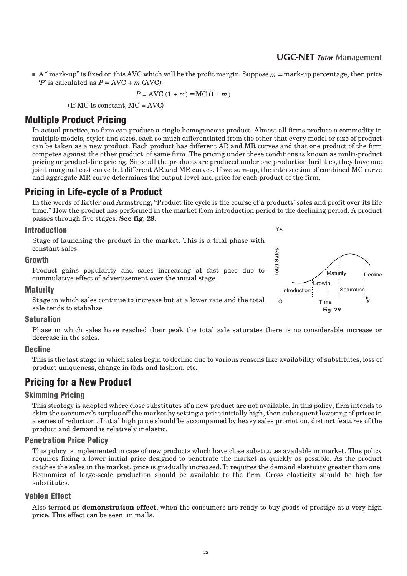#### 2 4 **UGC-NET** *Tutor* **Management**

■ A " mark-up'' is fixed on this AVC which will be the profit margin. Suppose *m* = mark-up percentage, then price  $P'$  is calculated as  $P = \text{AVC} + m \text{ (AVC)}$ 

$$
P = \text{AVC} (1 + m) = \text{MC} (1 + m)
$$

 $($ If MC is constant, MC = AVC $)$ 

### **Multiple Product Pricing**

In actual practice, no firm can produce a single homogeneous product. Almost all firms produce a commodity in multiple models, styles and sizes, each so much differentiated from the other that every model or size of product can be taken as a new product. Each product has different AR and MR curves and that one product of the firm competes against the other product of same firm. The pricing under these conditions is known as multi-product pricing or product-line pricing. Since all the products are produced under one production facilities, they have one joint marginal cost curve but different AR and MR curves. If we sum-up, the intersection of combined MC curve and aggregate MR curve determines the output level and price for each product of the firm.

### Pricing in Life-cycle of a Product

In the words of Kotler and Armstrong, "Product life cycle is the course of a products' sales and profit over its life time." How the product has performed in the market from introduction period to the declining period. A product passes through five stages. **See fig. 29.**

#### Introduction

Stage of launching the product in the market. This is a trial phase with constant sales.

#### Growth

Product gains popularity and sales increasing at fast pace due to cummulative effect of advertisement over the initial stage.

#### **Maturity**

Stage in which sales continue to increase but at a lower rate and the total sale tends to stabalize.

#### Saturation

Phase in which sales have reached their peak the total sale saturates there is no considerable increase or decrease in the sales.

#### **Decline**

This is the last stage in which sales begin to decline due to various reasons like availability of substitutes, loss of product uniqueness, change in fads and fashion, etc.

### Pricing for a New Product

#### Skimming Pricing

This strategy is adopted where close substitutes of a new product are not available. In this policy, firm intends to skim the consumer's surplus off the market by setting a price initially high, then subsequent lowering of prices in a series of reduction . Initial high price should be accompanied by heavy sales promotion, distinct features of the product and demand is relatively inelastic.

#### Penetration Price Policy

This policy is implemented in case of new products which have close substitutes available in market. This policy requires fixing a lower initial price designed to penetrate the market as quickly as possible. As the product catches the sales in the market, price is gradually increased. It requires the demand elasticity greater than one. Economies of large-scale production should be available to the firm. Cross elasticity should be high for substitutes.

#### Veblen Effect

Also termed as **demonstration effect**, when the consumers are ready to buy goods of prestige at a very high price. This effect can be seen in malls.

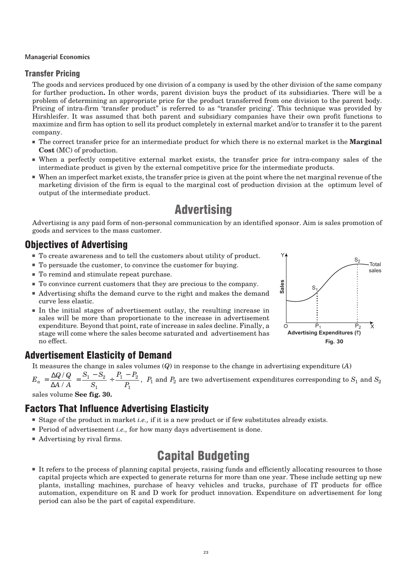#### Transfer Pricing

The goods and services produced by one division of a company is used by the other division of the same company for further production**.** In other words, parent division buys the product of its subsidiaries. There will be a problem of determining an appropriate price for the product transferred from one division to the parent body. Pricing of intra-firm 'transfer product" is referred to as "transfer pricing'. This technique was provided by Hirshleifer. It was assumed that both parent and subsidiary companies have their own profit functions to maximize and firm has option to sell its product completely in external market and/or to transfer it to the parent company.

- The correct transfer price for an intermediate product for which there is no external market is the **Marginal Cost** (MC) of production.
- When a perfectly competitive external market exists, the transfer price for intra-company sales of the intermediate product is given by the external competitive price for the intermediate products.
- When an imperfect market exists, the transfer price is given at the point where the net marginal revenue of the marketing division of the firm is equal to the marginal cost of production division at the optimum level of output of the intermediate product.

# **Advertising**

Advertising is any paid form of non-personal communication by an identified sponsor. Aim is sales promotion of goods and services to the mass customer.

### Objectives of Advertising

- To create awareness and to tell the customers about utility of product.
- To persuade the customer, to convince the customer for buying.
- To remind and stimulate repeat purchase.
- To convince current customers that they are precious to the company.
- Advertising shifts the demand curve to the right and makes the demand curve less elastic.
- In the initial stages of advertisement outlay, the resulting increase in sales will be more than proportionate to the increase in advertisement expenditure. Beyond that point, rate of increase in sales decline. Finally, a stage will come where the sales become saturated and advertisement has no effect.



### Advertisement Elasticity of Demand

It measures the change in sales volumes (*Q*) in response to the change in advertising expenditure (*A*)

 $E_a = \frac{\Delta Q / Q}{\Delta A / A}$ ∆ / /  $=\frac{S_1-S_2}{S_1}+\frac{P_1-P_2}{S_2}$ *S*  $P_1 - P_2$ *P*  $1 - \frac{1}{2}$ 1  $1 - 12$ 1 ,  $\,P_1$  and  $P_2$  are two advertisement expenditures corresponding to  $S_1$  and  $S_2$ 

sales volume **See fig. 30.**

### Factors That Influence Advertising Elasticity

- Stage of the product in market *i.e.*, if it is a new product or if few substitutes already exists.
- Period of advertisement *i.e.*, for how many days advertisement is done.
- Advertising by rival firms.

# Capital Budgeting

■ It refers to the process of planning capital projects, raising funds and efficiently allocating resources to those capital projects which are expected to generate returns for more than one year. These include setting up new plants, installing machines, purchase of heavy vehicles and trucks, purchase of IT products for office automation, expenditure on R and D work for product innovation. Expenditure on advertisement for long period can also be the part of capital expenditure.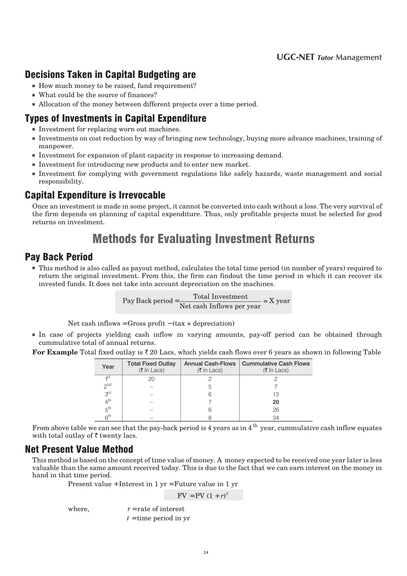### **Decisions Taken in Capital Budgeting are**

- How much money to be raised, fund requirement?
- What could be the source of finances?
- Allocation of the money between different projects over a time period.

### Types of Investments in Capital Expenditure

- Investment for replacing worn out machines.
- Investments on cost reduction by way of bringing new technology, buying more advance machines, training of manpower.
- Investment for expansion of plant capacity in response to increasing demand.
- Investment for introducing new products and to enter new market.
- Investment for complying with government regulations like safely hazards, waste management and social responsibility.

### Capital Expenditure is Irrevocable

Once an investment is made in some project, it cannot be converted into cash without a loss. The very survival of the firm depends on planning of capital expenditure. Thus, only profitable projects must be selected for good returns on investment.

# Methods for Evaluating Investment Returns

### Pay Back Period

■ This method is also called as payout method, calculates the total time period (in number of years) required to return the original investment. From this, the firm can findout the time period in which it can recover its invested funds. It does not take into account depreciation on the machines.

$$
Pay Back period = \frac{Total Investment}{Net cash Inflows per year} = X year
$$

Net cash inflows = Gross profit  $-(\text{tax} + \text{deprecision})$ 

■ In case of projects yielding cash inflow in varying amounts, pay-off period can be obtained through cummulative total of annual returns.

| Year              | <b>Total Fixed Outlay</b><br>$(5 \text{ In } \text{Lacs})$ | $(5 \text{ in } \text{Lacs})$ | Annual Cash-Flows   Cummulative Cash Flows<br>(₹ In Lacs) |
|-------------------|------------------------------------------------------------|-------------------------------|-----------------------------------------------------------|
| - <sub>1</sub> st | 20                                                         |                               |                                                           |
| 2 <sub>nd</sub>   |                                                            |                               |                                                           |
| 3 <sup>rd</sup>   |                                                            |                               |                                                           |
| 4 <sup>th</sup>   |                                                            |                               | 20                                                        |
| 5 <sup>th</sup>   |                                                            |                               | 26                                                        |
| 6 <sup>th</sup>   |                                                            |                               |                                                           |

For Example Total fixed outlay is  $\bar{z}$  20 Lacs, which yields cash flows over 6 years as shown in following Table

From above table we can see that the pay-back period is 4 years as in 4  $^{\rm th}$  year, cummulative cash inflow equates with total outlay of  $\bar{\tau}$  twenty lacs.

### Net Present Value Method

This method is based on the concept of time value of money. A money expected to be received one year later is less valuable than the same amount received today. This is due to the fact that we can earn interest on the money in hand in that time period.

Present value + Interest in 1 yr = Future value in 1 yr

 $FV = PV (1 + r)^{t}$ 

where,  $r =$ rate of interest

 $t =$  time period in yr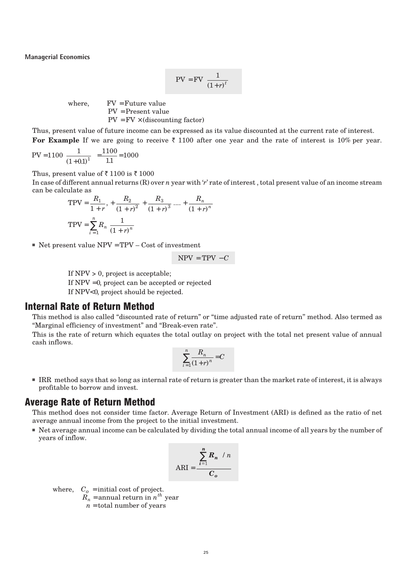$$
PV = FV \left[ \frac{1}{(1+r)^t} \right]
$$

where,  $FV = Future value$ PV = Present value  $PV = FV \times (discounting factor)$ 

Thus, present value of future income can be expressed as its value discounted at the current rate of interest. For Example If we are going to receive  $\bar{\zeta}$  1100 after one year and the rate of interest is 10% per year.

$$
PV = 1100 \left[ \frac{1}{(1+0.1)^1} \right] = \frac{1100}{1.1} = 1000
$$

Thus, present value of  $\bar{\tau}$  1100 is  $\bar{\tau}$  1000

In case of different annual returns (R) over *n* year with '*r*' rate of interest , total present value of an income stream can be calculate as

$$
\text{TPV} = \frac{R_1}{1+r}, +\frac{R_2}{(1+r)^2} + \frac{R_3}{(1+r)^3} + \dots + \frac{R_n}{(1+r)^n}
$$
\n
$$
\text{TPV} = \sum_{i=1}^n R_i \frac{1}{(1+r)^n}
$$

 $\blacksquare$  Net present value NPV = TPV – Cost of investment

$$
NPV = TPV - C
$$

If  $NPV > 0$ , project is acceptable; If NPV =0, project can be accepted or rejected If NPV<0, project should be rejected.

#### Internal Rate of Return Method

This method is also called "discounted rate of return" or "time adjusted rate of return'' method. Also termed as "Marginal efficiency of investment" and "Break-even rate".

This is the rate of return which equates the total outlay on project with the total net present value of annual cash inflows.

$$
\sum_{i=1}^n \frac{R_n}{(1+r)^n} = C
$$

■ IRR method says that so long as internal rate of return is greater than the market rate of interest, it is always profitable to borrow and invest.

#### Average Rate of Return Method

This method does not consider time factor. Average Return of Investment (ARI) is defined as the ratio of net average annual income from the project to the initial investment.

■ Net average annual income can be calculated by dividing the total annual income of all years by the number of years of inflow.

$$
ARI = \frac{\left[\sum_{i=1}^{n} R_n\right] / n}{C_o}
$$

where,  $C<sub>o</sub> = initial cost of project.$ 

 $\tilde{R_n}$  = annual return in  $n^{th}$  year

 $n =$  total number of years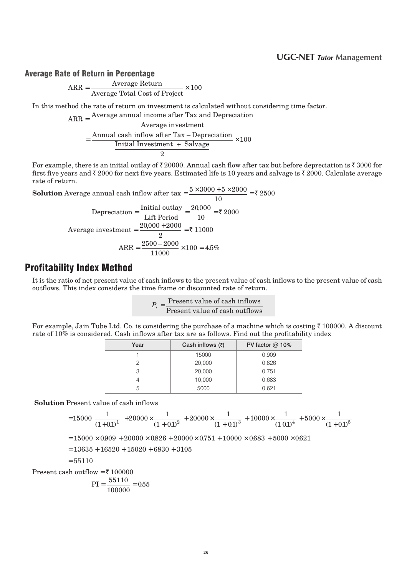#### 2 8 **UGC-NET** *Tutor* **Management**

#### Average Rate of Return in Percentage

$$
ARR = \frac{Average Return}{Average Total Cost of Project} \times 100
$$

In this method the rate of return on investment is calculated without considering time factor.

ARR = Average annual income after Tax and Depreciation

$$
Average investment
$$
\n
$$
= \frac{Annual cash inflow after Tax - Depreciation}{Initial Investment + Salvage} \times 100
$$

For example, there is an initial outlay of  $\bar{\tau}$  20000. Annual cash flow after tax but before depreciation is  $\bar{\tau}$  3000 for first five years and  $\bar{\tau}$  2000 for next five years. Estimated life is 10 years and salvage is  $\bar{\tau}$  2000. Calculate average rate of return.

**Solution** Average annual cash inflow after  $\tan x = \frac{5 \times 3000 + 5 \times 2000}{100}$ ₹ 2500

$$
10
$$
  
Depreciation =  $\frac{\text{Initial outlay}}{\text{Lift Period}}$  =  $\frac{20,000}{10}$  = ₹ 2000  
Average investment =  $\frac{20,000 + 2000}{2}$  = ₹ 11000  

$$
\text{ARR} = \frac{2500 - 2000}{11000} \times 100 = 45\%
$$

### **Profitability Index Method**

It is the ratio of net present value of cash inflows to the present value of cash inflows to the present value of cash outflows. This index considers the time frame or discounted rate of return.

| $P_i =$ | Present value of cash inflows  |
|---------|--------------------------------|
|         | Present value of cash outflows |

For example, Jain Tube Ltd. Co. is considering the purchase of a machine which is costing  $\bar{z}$  100000. A discount rate of 10% is considered. Cash inflows after tax are as follows. Find out the profitability index

| Year | Cash inflows $(3)$ | PV factor $@$ 10% |
|------|--------------------|-------------------|
|      | 15000              | 0.909             |
|      | 20,000             | 0.826             |
|      | 20,000             | 0.751             |
|      | 10,000             | 0.683             |
|      | 5000               | 0.621             |

**Solution** Present value of cash inflows

$$
=15000\Bigg[\frac{1}{\left(1+0.1\right)^1}\Bigg]+20000\times\frac{1}{\left(1+0.1\right)^2}+20000\times\frac{1}{\left(1+0.1\right)^3}+10000\times\frac{1}{\left(1\ 0.1\right)^4}+5000\times\frac{1}{\left(1+0.1\right)^5}
$$

 $= 15000 \times 0.909 + 20000 \times 0.826 + 20000 \times 0.751 + 10000 \times 0.683 + 5000 \times 0.621$ 

 $= 13635 + 16520 + 15020 + 6830 + 3105$ 

$$
=55110
$$

Present cash outflow =  $\bar{\tau}$  100000

$$
PI = \frac{55110}{100000} = 0.55
$$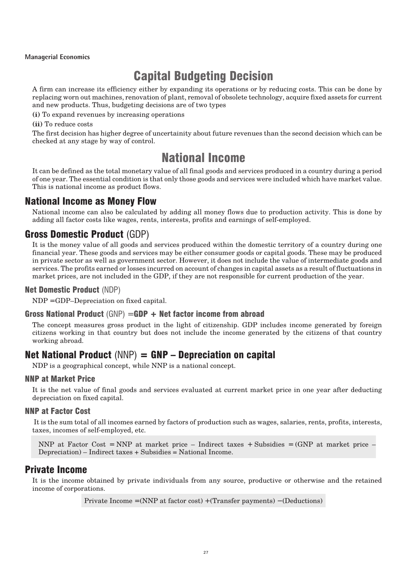# **Capital Budgeting Decision**

A firm can increase its efficiency either by expanding its operations or by reducing costs. This can be done by replacing worn out machines, renovation of plant, removal of obsolete technology, acquire fixed assets for current and new products. Thus, budgeting decisions are of two types

**(i)** To expand revenues by increasing operations

#### **(ii)** To reduce costs

The first decision has higher degree of uncertainity about future revenues than the second decision which can be checked at any stage by way of control.

# **National Income**

It can be defined as the total monetary value of all final goods and services produced in a country during a period of one year. The essential condition is that only those goods and services were included which have market value. This is national income as product flows.

### National Income as Money Flow

National income can also be calculated by adding all money flows due to production activity. This is done by adding all factor costs like wages, rents, interests, profits and earnings of self-employed.

### Gross Domestic Product (GDP)

It is the money value of all goods and services produced within the domestic territory of a country during one financial year. These goods and services may be either consumer goods or capital goods. These may be produced in private sector as well as government sector. However, it does not include the value of intermediate goods and services. The profits earned or losses incurred on account of changes in capital assets as a result of fluctuations in market prices, are not included in the GDP, if they are not responsible for current production of the year.

#### Net Domestic Product (NDP)

NDP = GDP–Depreciation on fixed capital.

#### **Gross National Product** (GNP) = GDP + Net factor income from abroad

The concept measures gross product in the light of citizenship. GDP includes income generated by foreign citizens working in that country but does not include the income generated by the citizens of that country working abroad.

### Net National Product  $(NNP) = GNP - Depreciation$  on capital

NDP is a geographical concept, while NNP is a national concept.

#### **NNP at Market Price**

It is the net value of final goods and services evaluated at current market price in one year after deducting depreciation on fixed capital.

#### **NNP at Factor Cost**

It is the sum total of all incomes earned by factors of production such as wages, salaries, rents, profits, interests, taxes, incomes of self-employed, etc.

```
NNP at Factor Cost = NNP at market price – Indirect taxes + Subsidies = (GNP at market price –
Depreciation) – Indirect taxes + Subsidies = National Income.
```
#### **Private Income**

It is the income obtained by private individuals from any source, productive or otherwise and the retained income of corporations.

Private Income = (NNP at factor cost) + (Transfer payments) − (Deductions)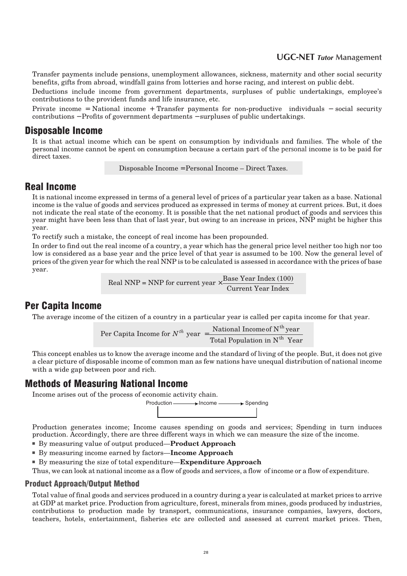#### 3 0 **UGC-NET** *Tutor* **Management**

Transfer payments include pensions, unemployment allowances, sickness, maternity and other social security benefits, gifts from abroad, windfall gains from lotteries and horse racing, and interest on public debt.

Deductions include income from government departments, surpluses of public undertakings, employee's contributions to the provident funds and life insurance, etc.

Private income = National income + Transfer payments for non-productive individuals − social security contributions − Profits of government departments − surpluses of public undertakings.

#### Disposable Income

It is that actual income which can be spent on consumption by individuals and families. The whole of the personal income cannot be spent on consumption because a certain part of the personal income is to be paid for direct taxes.

Disposable Income = Personal Income – Direct Taxes.

### Real Income

It is national income expressed in terms of a general level of prices of a particular year taken as a base. National income is the value of goods and services produced as expressed in terms of money at current prices. But, it does not indicate the real state of the economy. It is possible that the net national product of goods and services this year might have been less than that of last year, but owing to an increase in prices, NNP might be higher this year.

To rectify such a mistake, the concept of real income has been propounded.

In order to find out the real income of a country, a year which has the general price level neither too high nor too low is considered as a base year and the price level of that year is assumed to be 100. Now the general level of prices of the given year for which the real NNP is to be calculated is assessed in accordance with the prices of base year.

> Real NNP = NNP for current year  $\times \frac{\text{Base Year Index} (100)}{\text{6848}}$ Current Year Index

### Per Capita Income

The average income of the citizen of a country in a particular year is called per capita income for that year.

Per Capita Income for  $N^{th}$  year  $=\frac{\text{National Income of N}^{th} \text{ year}}{\text{Mean of N}^{th} \text{ year}}$ Total Population in N th th Year

This concept enables us to know the average income and the standard of living of the people. But, it does not give a clear picture of disposable income of common man as few nations have unequal distribution of national income with a wide gap between poor and rich.

#### Methods of Measuring National Income

Income arises out of the process of economic activity chain. Production — Reference All and Spending

Production generates income; Income causes spending on goods and services; Spending in turn induces production. Accordingly, there are three different ways in which we can measure the size of the income.

- By measuring value of output produced—**Product Approach**
- By measuring income earned by factors—**Income Approach**
- By measuring the size of total expenditure—**Expenditure Approach**

Thus, we can look at national income as a flow of goods and services, a flow of income or a flow of expenditure.

#### Product Approach/Output Method

Total value of final goods and services produced in a country during a year is calculated at market prices to arrive at GDP at market price. Production from agriculture, forest, minerals from mines, goods produced by industries, contributions to production made by transport, communications, insurance companies, lawyers, doctors, teachers, hotels, entertainment, fisheries etc are collected and assessed at current market prices. Then,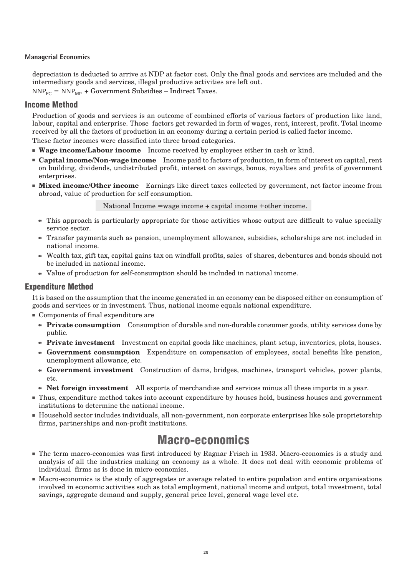depreciation is deducted to arrive at NDP at factor cost. Only the final goods and services are included and the intermediary goods and services, illegal productive activities are left out.

 $NNP_{FC} = NNP_{MP} + Government Subsidies - Indirect Taxes.$ 

#### Income Method

Production of goods and services is an outcome of combined efforts of various factors of production like land, labour, capital and enterprise. Those factors get rewarded in form of wages, rent, interest, profit. Total income received by all the factors of production in an economy during a certain period is called factor income.

These factor incomes were classified into three broad categories.

- **Wage income/Labour income** Income received by employees either in cash or kind.
- **Capital income/Non-wage income** Income paid to factors of production, in form of interest on capital, rent on building, dividends, undistributed profit, interest on savings, bonus, royalties and profits of government enterprises.
- **Mixed income/Other income** Earnings like direct taxes collected by government, net factor income from abroad, value of production for self consumption.

National Income = wage income + capital income + other income.

- This approach is particularly appropriate for those activities whose output are difficult to value specially service sector.
- Transfer payments such as pension, unemployment allowance, subsidies, scholarships are not included in national income.
- d Wealth tax, gift tax, capital gains tax on windfall profits, sales of shares, debentures and bonds should not be included in national income.
- Value of production for self-consumption should be included in national income.

#### Expenditure Method

It is based on the assumption that the income generated in an economy can be disposed either on consumption of goods and services or in investment. Thus, national income equals national expenditure.

- Components of final expenditure are
	- Private consumption Consumption of durable and non-durable consumer goods, utility services done by public.
	- **Private investment** Investment on capital goods like machines, plant setup, inventories, plots, houses.
	- d **Government consumption** Expenditure on compensation of employees, social benefits like pension, unemployment allowance, etc.
	- d **Government investment** Construction of dams, bridges, machines, transport vehicles, power plants, etc.
	- Net foreign investment All exports of merchandise and services minus all these imports in a year.
- Thus, expenditure method takes into account expenditure by houses hold, business houses and government institutions to determine the national income.
- Household sector includes individuals, all non-government, non corporate enterprises like sole proprietorship firms, partnerships and non-profit institutions.

# Macro-economics

- The term macro-economics was first introduced by Ragnar Frisch in 1933. Macro-economics is a study and analysis of all the industries making an economy as a whole. It does not deal with economic problems of individual firms as is done in micro-economics.
- Macro-economics is the study of aggregates or average related to entire population and entire organisations involved in economic activities such as total employment, national income and output, total investment, total savings, aggregate demand and supply, general price level, general wage level etc.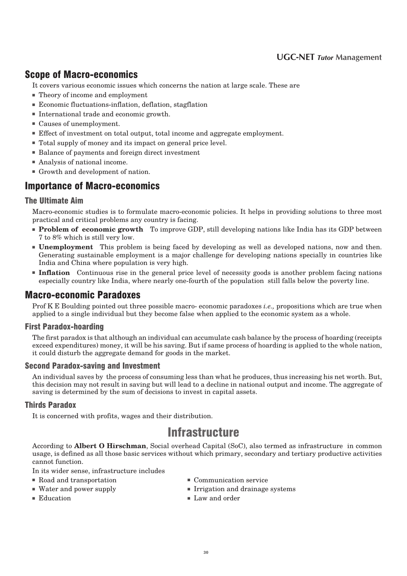#### 3 2 **UGC-NET** *Tutor* **Management**

### Scope **of Macro-economics**

It covers various economic issues which concerns the nation at large scale. These are

- Theory of income and employment
- Economic fluctuations-inflation, deflation, stagflation
- International trade and economic growth.
- Causes of unemployment.
- Effect of investment on total output, total income and aggregate employment.
- Total supply of money and its impact on general price level.
- Balance of payments and foreign direct investment
- Analysis of national income.
- Growth and development of nation.

### Importance of Macro-economics

#### The Ultimate Aim

Macro-economic studies is to formulate macro-economic policies. It helps in providing solutions to three most practical and critical problems any country is facing.

- **Problem of economic growth** To improve GDP, still developing nations like India has its GDP between 7 to 8% which is still very low.
- **Unemployment** This problem is being faced by developing as well as developed nations, now and then. Generating sustainable employment is a major challenge for developing nations specially in countries like India and China where population is very high.
- **Inflation** Continuous rise in the general price level of necessity goods is another problem facing nations especially country like India, where nearly one-fourth of the population still falls below the poverty line.

#### **Macro-economic Paradoxes**

Prof K E Boulding pointed out three possible macro- economic paradoxes *i.e.,* propositions which are true when applied to a single individual but they become false when applied to the economic system as a whole.

#### **First Paradox-hoarding**

The first paradox is that although an individual can accumulate cash balance by the process of hoarding (receipts exceed expenditures) money, it will be his saving. But if same process of hoarding is applied to the whole nation, it could disturb the aggregate demand for goods in the market.

#### **Second Paradox-saving and Investment**

An individual saves by the process of consuming less than what he produces, thus increasing his net worth. But, this decision may not result in saving but will lead to a decline in national output and income. The aggregate of saving is determined by the sum of decisions to invest in capital assets.

#### **Thirds Paradox**

It is concerned with profits, wages and their distribution.

## **Infrastructure**

According to **Albert O Hirschman**, Social overhead Capital (SoC), also termed as infrastructure in common usage, is defined as all those basic services without which primary, secondary and tertiary productive activities cannot function.

In its wider sense, infrastructure includes

- Road and transportation Communication service
- 
- 
- 
- Water and power supply Irrigation and drainage systems
- Education Law and order

 $30$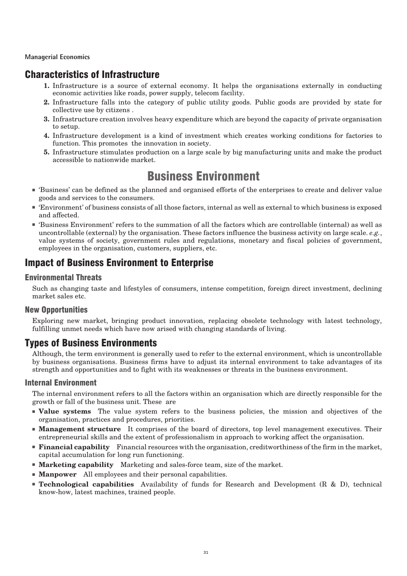### Characteristics of Infrastructure

- **1.** Infrastructure is a source of external economy. It helps the organisations externally in conducting economic activities like roads, power supply, telecom facility.
- **2.** Infrastructure falls into the category of public utility goods. Public goods are provided by state for collective use by citizens .
- **3.** Infrastructure creation involves heavy expenditure which are beyond the capacity of private organisation to setup.
- **4.** Infrastructure development is a kind of investment which creates working conditions for factories to function. This promotes the innovation in society.
- **5.** Infrastructure stimulates production on a large scale by big manufacturing units and make the product accessible to nationwide market.

# Business Environment

- 'Business' can be defined as the planned and organised efforts of the enterprises to create and deliver value goods and services to the consumers.
- 'Environment' of business consists of all those factors, internal as well as external to which business is exposed and affected.
- 'Business Environment' refers to the summation of all the factors which are controllable (internal) as well as uncontrollable (external) by the organisation. These factors influence the business activity on large scale. *e.g.*, value systems of society, government rules and regulations, monetary and fiscal policies of government, employees in the organisation, customers, suppliers, etc.

### Impact of Business Environment to Enterprise

#### **Environmental Threats**

Such as changing taste and lifestyles of consumers, intense competition, foreign direct investment, declining market sales etc.

#### **New Opportunities**

Exploring new market, bringing product innovation, replacing obsolete technology with latest technology, fulfilling unmet needs which have now arised with changing standards of living.

### **Types of Business Environments**

Although, the term environment is generally used to refer to the external environment, which is uncontrollable by business organisations. Business firms have to adjust its internal environment to take advantages of its strength and opportunities and to fight with its weaknesses or threats in the business environment.

#### **Internal Environment**

The internal environment refers to all the factors within an organisation which are directly responsible for the growth or fall of the business unit. These are

- **Value systems** The value system refers to the business policies, the mission and objectives of the organisation, practices and procedures, priorities.
- **Management structure** It comprises of the board of directors, top level management executives. Their entrepreneurial skills and the extent of professionalism in approach to working affect the organisation.
- **Financial capability** Financial resources with the organisation, creditworthiness of the firm in the market, capital accumulation for long run functioning.
- **Marketing capability** Marketing and sales-force team, size of the market.
- **Manpower** All employees and their personal capabilities.
- **Technological capabilities** Availability of funds for Research and Development (R & D), technical know-how, latest machines, trained people.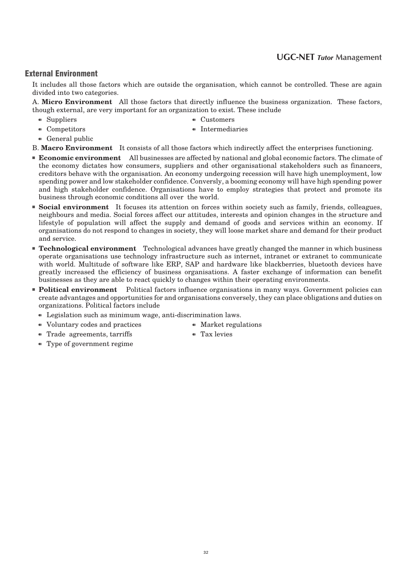#### 3 4 **UGC-NET** *Tutor* **Management**

#### **External Environment**

It includes all those factors which are outside the organisation, which cannot be controlled. These are again divided into two categories.

A. **Micro Environment** All those factors that directly influence the business organization. These factors, though external, are very important for an organization to exist. These include

- $\bullet$  Suppliers  $\bullet$  Customers
	-
- $\bullet$  Competitors  $\bullet$  Intermediaries
- $\bullet$  General public

B. **Macro Environment** It consists of all those factors which indirectly affect the enterprises functioning.

- **Economic environment** All businesses are affected by national and global economic factors. The climate of the economy dictates how consumers, suppliers and other organisational stakeholders such as financers, creditors behave with the organisation. An economy undergoing recession will have high unemployment, low spending power and low stakeholder confidence. Conversly, a booming economy will have high spending power and high stakeholder confidence. Organisations have to employ strategies that protect and promote its business through economic conditions all over the world.
- **Social environment** It focuses its attention on forces within society such as family, friends, colleagues, neighbours and media. Social forces affect our attitudes, interests and opinion changes in the structure and lifestyle of population will affect the supply and demand of goods and services within an economy. If organisations do not respond to changes in society, they will loose market share and demand for their product and service.
- **Technological environment** Technological advances have greatly changed the manner in which business operate organisations use technology infrastructure such as internet, intranet or extranet to communicate with world. Multitude of software like ERP, SAP and hardware like blackberries, bluetooth devices have greatly increased the efficiency of business organisations. A faster exchange of information can benefit businesses as they are able to react quickly to changes within their operating environments.
- **Political environment** Political factors influence organisations in many ways. Government policies can create advantages and opportunities for and organisations conversely, they can place obligations and duties on organizations. Political factors include
	- $\bullet$  Legislation such as minimum wage, anti-discrimination laws.
- Voluntary codes and practices Market regulations
- $\bullet$  Trade agreements, tarriffs  $\bullet$  Tax levies
- -
- $\bullet$  Type of government regime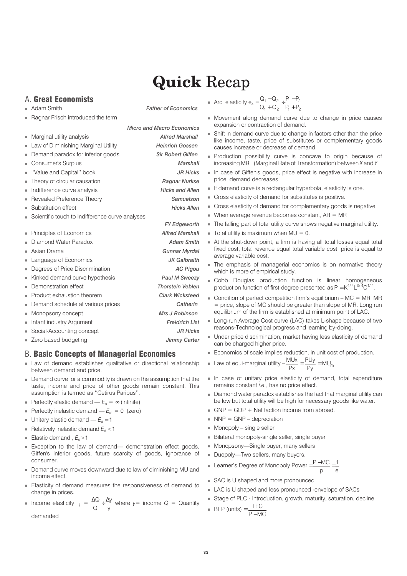# **Quick** Recap

#### A. Great Economists

- Adam Smith *Father of Economics*
- Ragnar Frisch introduced the term
- Marginal utility analysis *Alfred Marshall*
- Law of Diminishing Marginal Utility *Heinrich Gossen*
- Demand paradox for inferior goods *Sir Robert Giffen*
- **Consumer's Surplus** *Marshall*
- ''Value and Capital'' book *JR Hicks*
- Theory of circular causation *Ragnar Nurkse*
- Indifference curve analysis *Hicks and Allen*
- Revealed Preference Theory *Samuelson*
- Substitution effect *Hicks Allen*
- Scientific touch to Indifference curve analyses
- Principles of Economics **Alfred Marshall**
- Diamond Water Paradox *Adam Smith*
- 
- Language of Economics *JK Galbraith*
- Degrees of Price Discrimination *AC Pigou*
- Kinked demand curve hypothesis *Paul M Sweezy*
- Demonstration effect *Thorstein Veblen*
- Product exhaustion theorem *Clark Wicksteed*
- Demand schedule at various prices *Catherin*
- Monopsony concept *Mrs J Robinson*
- 
- 
- 

#### B. Basic Concepts of Managerial Economics

- Law of demand establishes qualitative or directional relationship between demand and price.
- Demand curve for a commodity is drawn on the assumption that the taste, income and price of other goods remain constant. This assumption is termed as ''Cetirus Paribus''.
- **•** Perfectly elastic demand  $E_d = \infty$  (infinite)
- **•** Perfectly inelastic demand  $E_d = 0$  (zero)
- **Unitary elastic demand**  $E_d = 1$
- **Relatively inelastic demand**  $E_d$  **<1**
- **Elastic demand,**  $E_d > 1$
- Exception to the law of demand— demonstration effect goods, Giffen's inferior goods, future scarcity of goods, ignorance of consumer.
- Demand curve moves downward due to law of diminishing MU and income effect.
- Elasticity of demand measures the responsiveness of demand to change in prices.
- Income elasticity  $\frac{\Delta Q}{\Delta} \div \frac{\Delta Q}{\Delta}$ Q y  $\div \frac{\Delta y}{y}$  where  $y=$  income  $Q =$  Quantity demanded

• Arc elasticity 
$$
e_a = \frac{Q_1 - Q_2}{Q_1 + Q_2} + \frac{P_1 - P_2}{P_1 + P_2}
$$

- Movement along demand curve due to change in price causes expansion or contraction of demand.
- Shift in demand curve due to change in factors other than the price like income, taste, price of substitutes or complementary goods causes increase or decrease of demand.
- Production possibility curve is concave to origin because of increasing MRT (Marginal Rate of Transformation) between *X* and *Y*.
- In case of Giffen's goods, price effect is negative with increase in price, demand decreases.
- If demand curve is a rectangular hyperbola, elasticity is one.
- Cross elasticity of demand for substitutes is positive.
- Cross elasticity of demand for complementary goods is negative.
- When average revenue becomes constant,  $AR = MR$
- The falling part of total utility curve shows negative marginal utility.
- $\blacksquare$  Total utility is maximum when MU = 0.
- At the shut-down point, a firm is having all total losses equal total fixed cost, total revenue equal total variable cost, price is equal to average variable cost.
- The emphasis of managerial economics is on normative theory which is more of empirical study.
- Cobb Douglas production function is linear homogeneous production function of first degree presented as  $P = K^{1/4}L^{3/4}C^{1/4}$ .
- Condition of perfect competition firm's equilibrium  $-$  MC = MR, MR  $=$  price, slope of MC should be greater than slope of MR. Long run equilibrium of the firm is established at minimum point of LAC.
- Long-run Average Cost curve (LAC) takes L-shape because of two reasons-Technological progress and learning by-doing.
- Under price discrimination, market having less elasticity of demand can be charged higher price.
- Economics of scale implies reduction, in unit cost of production.

■ Law of equi-marginal utility 
$$
-\frac{MUx}{Px} = \frac{PUy}{Py} = MU_m
$$

- In case of unitary price elasticity of demand, total expenditure remains constant *i.e.*, has no price effect.
- Diamond water paradox establishes the fact that marginal utility can be low but total utility will be high for necessary goods like water.
- $GNP = GDP + Net$  faction income from abroad.
- $NNP = GNP depreciation$
- Monopoly single seller
- Bilateral monopoly-single seller, single buyer
- Monopsony—Single buyer, many sellers
- Duopoly—Two sellers, many buyers.
- Learner's Degree of Monopoly Power =  $\frac{P MC}{P}$ p e MC 1
- SAC is U shaped and more pronounced
- LAC is U shaped and less pronounced -envelope of SACs
- Stage of PLC Introduction, growth, maturity, saturation, decline.

■ **BEP** (units) = 
$$
\frac{\text{TEC}}{\text{P}-\text{MC}}
$$

- *FY Edgeworth*
- Asian Drama *Gunnar Myrdal*
	-
	-

*Micro and Macro Economics*

- 
- 
- 
- 
- Infant industry Argument *Freidrich List*
- Social-Accounting concept *JR Hicks*
- Zero based budgeting *Jimmy Carter*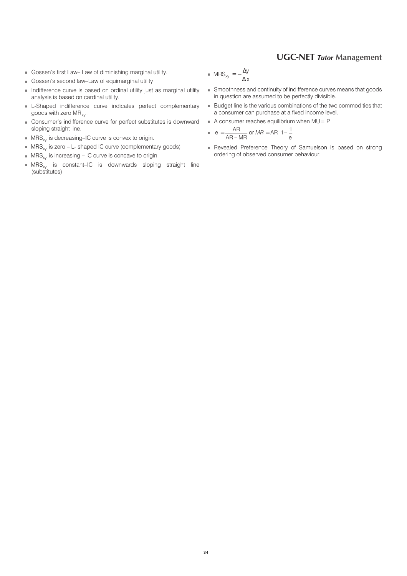#### 3 6 **UGC-NET** *Tutor* **Management**

- Gossen's first Law– Law of diminishing marginal utility.
- Gossen's second law–Law of equimarginal utility
- Indifference curve is based on ordinal utility just as marginal utility analysis is based on cardinal utility.
- L-Shaped indifference curve indicates perfect complementary goods with zero MR<sub>xy</sub>.
- Consumer's indifference curve for perfect substitutes is downward sloping straight line.
- MRS<sub>xy</sub> is decreasing–IC curve is convex to origin.
- $MRS_{xy}$  is zero L- shaped IC curve (complementary goods)
- $\blacksquare$  MRS<sub>xy</sub> is increasing IC curve is concave to origin.
- $\;\;\bar{}\;$  MRS $_{\mathrm{xy}}\;$  is constant–IC is downwards sloping straight line (substitutes)
- $\blacksquare$  MRS<sub>xy</sub> =  $-\frac{\Delta}{4}$ ∆ y x
- Smoothness and continuity of indifference curves means that goods in question are assumed to be perfectly divisible.
- Budget line is the various combinations of the two commodities that a consumer can purchase at a fixed income level.
- A consumer reaches equilibrium when MU= P

$$
e = \frac{AR}{AR - MR}
$$
 or  $MR = AR\left(1 - \frac{1}{e}\right)$ 

■ Revealed Preference Theory of Samuelson is based on strong ordering of observed consumer behaviour.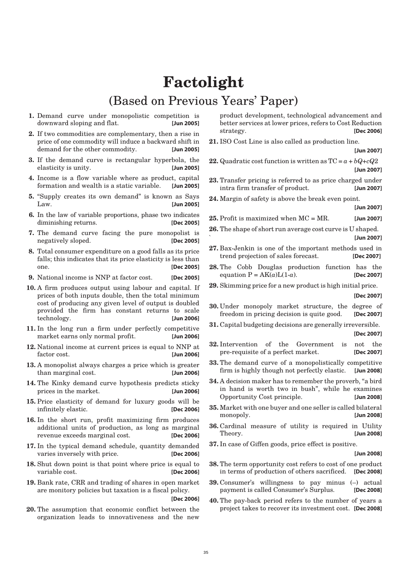# **Factolight** (Based on Previous Years' Paper)

- **1.** Demand curve under monopolistic competition is downward sloping and flat. **[Jun 2005]**
- **2.** If two commodities are complementary, then a rise in price of one commodity will induce a backward shift in demand for the other commodity. **[Jun 2005]**
- **3.** If the demand curve is rectangular hyperbola, the elasticity is unity. **[Jun 2005]**
- **4.** Income is a flow variable where as product, capital formation and wealth is a static variable. **[Jun 2005]**
- **5.** "Supply creates its own demand" is known as Says Law. **[Jun 2005]**
- **6.** In the law of variable proportions, phase two indicates diminishing returns. **[Dec 2005]**
- **7.** The demand curve facing the pure monopolist is negatively sloped. **[Dec 2005]**
- **8.** Total consumer expenditure on a good falls as its price falls; this indicates that its price elasticity is less than one. **[Dec 2005]**
- **9.** National income is NNP at factor cost. **[Dec 2005]**
- **10.** A firm produces output using labour and capital. If prices of both inputs double, then the total minimum cost of producing any given level of output is doubled provided the firm has constant returns to scale technology. **[Jun 2006]**
- **11.** In the long run a firm under perfectly competitive market earns only normal profit. **[Jun 2006]**
- **12.** National income at current prices is equal to NNP at factor cost. **[Jun 2006]**
- **13.** A monopolist always charges a price which is greater than marginal cost. **[Jun 2006]**
- **14.** The Kinky demand curve hypothesis predicts sticky prices in the market. **[Jun 2006]**
- **15.** Price elasticity of demand for luxury goods will be infinitely elastic. **[Dec 2006]**
- **16.** In the short run, profit maximizing firm produces additional units of production, as long as marginal revenue exceeds marginal cost. **[Dec 2006]**
- **17.** In the typical demand schedule, quantity demanded varies inversely with price. **[Dec 2006]**
- **18.** Shut down point is that point where price is equal to variable cost. **[Dec 2006]**
- **19.** Bank rate, CRR and trading of shares in open market are monitory policies but taxation is a fiscal policy.

**[Dec 2006]**

**20.** The assumption that economic conflict between the organization leads to innovativeness and the new product development, technological advancement and better services at lower prices, refers to Cost Reduction strategy. **[Dec 2006]**

- **21.** ISO Cost Line is also called as production line. **[Jun 2007]**
- **22.** Quadratic cost function is written as  $TC = a + bQ+cQ2$ **[Jun 2007]**
- **23.** Transfer pricing is referred to as price charged under intra firm transfer of product. **[Jun 2007]**
- **24.** Margin of safety is above the break even point.

**[Jun 2007]**

- **25.** Profit is maximized when MC = MR. **[Jun 2007]**
- **26.** The shape of short run average cost curve is U shaped. ` **[Jun 2007]**
- **27.** Bax-Jenkin is one of the important methods used in trend projection of sales forecast. **[Dec 2007]**
- **28.** The Cobb Douglas production function has the equation  $P = AK(a)L(1-a)$ . **[Dec 2007]**
- **29.** Skimming price for a new product is high initial price.

**[Dec 2007]**

- **30.** Under monopoly market structure, the degree of freedom in pricing decision is quite good. **[Dec 2007]**
- **31.** Capital budgeting decisions are generally irreversible. **[Dec 2007]**
- **32.** Intervention of the Government is not the pre-requisite of a perfect market. **[Dec 2007]**
- **33.** The demand curve of a monopolistically competitive firm is highly though not perfectly elastic. **[Jun 2008]**
- **34.** A decision maker has to remember the proverb, "a bird in hand is worth two in bush", while he examines Opportunity Cost principle. **[Jun 2008]**
- **35.** Market with one buyer and one seller is called bilateral monopoly. **[Jun 2008]**
- **36.** Cardinal measure of utility is required in Utility Theory. **[Jun 2008]**
- **37.** In case of Giffen goods, price effect is positive.

**[Jun 2008]**

- **38.** The term opportunity cost refers to cost of one product in terms of production of others sacrificed. **[Dec 2008]**
- **39.** Consumer's willingness to pay minus (–) actual payment is called Consumer's Surplus. **[Dec 2008]**
- **40.** The pay-back period refers to the number of years a project takes to recover its investment cost. **[Dec 2008]**